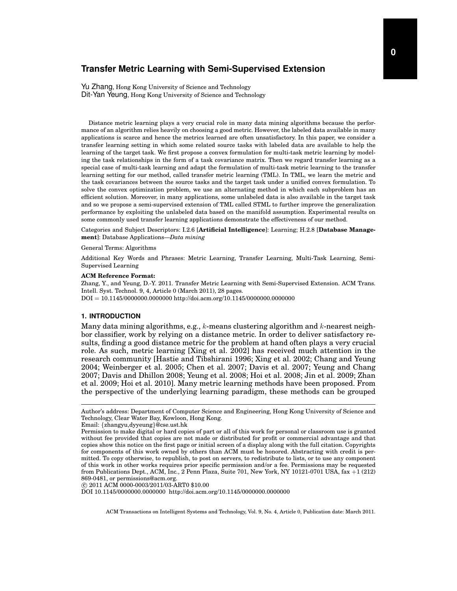Yu Zhang, Hong Kong University of Science and Technology Dit-Yan Yeung, Hong Kong University of Science and Technology

Distance metric learning plays a very crucial role in many data mining algorithms because the performance of an algorithm relies heavily on choosing a good metric. However, the labeled data available in many applications is scarce and hence the metrics learned are often unsatisfactory. In this paper, we consider a transfer learning setting in which some related source tasks with labeled data are available to help the learning of the target task. We first propose a convex formulation for multi-task metric learning by modeling the task relationships in the form of a task covariance matrix. Then we regard transfer learning as a special case of multi-task learning and adapt the formulation of multi-task metric learning to the transfer learning setting for our method, called transfer metric learning (TML). In TML, we learn the metric and the task covariances between the source tasks and the target task under a unified convex formulation. To solve the convex optimization problem, we use an alternating method in which each subproblem has an efficient solution. Moreover, in many applications, some unlabeled data is also available in the target task and so we propose a semi-supervised extension of TML called STML to further improve the generalization performance by exploiting the unlabeled data based on the manifold assumption. Experimental results on some commonly used transfer learning applications demonstrate the effectiveness of our method.

Categories and Subject Descriptors: I.2.6 [**Artificial Intelligence**]: Learning; H.2.8 [**Database Management**]: Database Applications—*Data mining*

General Terms: Algorithms

Additional Key Words and Phrases: Metric Learning, Transfer Learning, Multi-Task Learning, Semi-Supervised Learning

#### **ACM Reference Format:**

Zhang, Y., and Yeung, D.-Y. 2011. Transfer Metric Learning with Semi-Supervised Extension. ACM Trans. Intell. Syst. Technol. 9, 4, Article 0 (March 2011), 28 pages.  $\text{DOI} = 10.1145/0000000.0000000 \ \text{http://doi.acm.org/10.1145/0000000.0000000}$ 

#### **1. INTRODUCTION**

Many data mining algorithms, e.g.,  $k$ -means clustering algorithm and  $k$ -nearest neighbor classifier, work by relying on a distance metric. In order to deliver satisfactory results, finding a good distance metric for the problem at hand often plays a very crucial role. As such, metric learning [Xing et al. 2002] has received much attention in the research community [Hastie and Tibshirani 1996; Xing et al. 2002; Chang and Yeung 2004; Weinberger et al. 2005; Chen et al. 2007; Davis et al. 2007; Yeung and Chang 2007; Davis and Dhillon 2008; Yeung et al. 2008; Hoi et al. 2008; Jin et al. 2009; Zhan et al. 2009; Hoi et al. 2010]. Many metric learning methods have been proposed. From the perspective of the underlying learning paradigm, these methods can be grouped

*⃝*c 2011 ACM 0000-0003/2011/03-ART0 \$10.00

DOI 10.1145/0000000.0000000 http://doi.acm.org/10.1145/0000000.0000000

Author's address: Department of Computer Science and Engineering, Hong Kong University of Science and Technology, Clear Water Bay, Kowloon, Hong Kong.

Email: *{*zhangyu,dyyeung*}*@cse.ust.hk

Permission to make digital or hard copies of part or all of this work for personal or classroom use is granted without fee provided that copies are not made or distributed for profit or commercial advantage and that copies show this notice on the first page or initial screen of a display along with the full citation. Copyrights for components of this work owned by others than ACM must be honored. Abstracting with credit is permitted. To copy otherwise, to republish, to post on servers, to redistribute to lists, or to use any component of this work in other works requires prior specific permission and/or a fee. Permissions may be requested from Publications Dept., ACM, Inc., 2 Penn Plaza, Suite 701, New York, NY 10121-0701 USA, fax +1 (212) 869-0481, or permissions@acm.org.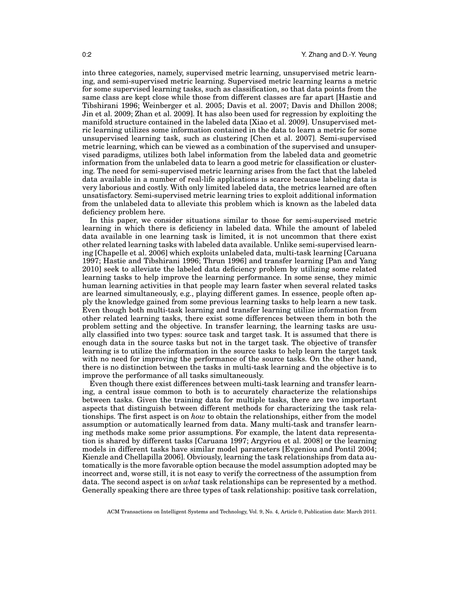into three categories, namely, supervised metric learning, unsupervised metric learning, and semi-supervised metric learning. Supervised metric learning learns a metric for some supervised learning tasks, such as classification, so that data points from the same class are kept close while those from different classes are far apart [Hastie and Tibshirani 1996; Weinberger et al. 2005; Davis et al. 2007; Davis and Dhillon 2008; Jin et al. 2009; Zhan et al. 2009]. It has also been used for regression by exploiting the manifold structure contained in the labeled data [Xiao et al. 2009]. Unsupervised metric learning utilizes some information contained in the data to learn a metric for some unsupervised learning task, such as clustering [Chen et al. 2007]. Semi-supervised metric learning, which can be viewed as a combination of the supervised and unsupervised paradigms, utilizes both label information from the labeled data and geometric information from the unlabeled data to learn a good metric for classification or clustering. The need for semi-supervised metric learning arises from the fact that the labeled data available in a number of real-life applications is scarce because labeling data is very laborious and costly. With only limited labeled data, the metrics learned are often unsatisfactory. Semi-supervised metric learning tries to exploit additional information from the unlabeled data to alleviate this problem which is known as the labeled data deficiency problem here.

In this paper, we consider situations similar to those for semi-supervised metric learning in which there is deficiency in labeled data. While the amount of labeled data available in one learning task is limited, it is not uncommon that there exist other related learning tasks with labeled data available. Unlike semi-supervised learning [Chapelle et al. 2006] which exploits unlabeled data, multi-task learning [Caruana 1997; Hastie and Tibshirani 1996; Thrun 1996] and transfer learning [Pan and Yang 2010] seek to alleviate the labeled data deficiency problem by utilizing some related learning tasks to help improve the learning performance. In some sense, they mimic human learning activities in that people may learn faster when several related tasks are learned simultaneously, e.g., playing different games. In essence, people often apply the knowledge gained from some previous learning tasks to help learn a new task. Even though both multi-task learning and transfer learning utilize information from other related learning tasks, there exist some differences between them in both the problem setting and the objective. In transfer learning, the learning tasks are usually classified into two types: source task and target task. It is assumed that there is enough data in the source tasks but not in the target task. The objective of transfer learning is to utilize the information in the source tasks to help learn the target task with no need for improving the performance of the source tasks. On the other hand, there is no distinction between the tasks in multi-task learning and the objective is to improve the performance of all tasks simultaneously.

Even though there exist differences between multi-task learning and transfer learning, a central issue common to both is to accurately characterize the relationships between tasks. Given the training data for multiple tasks, there are two important aspects that distinguish between different methods for characterizing the task relationships. The first aspect is on *how* to obtain the relationships, either from the model assumption or automatically learned from data. Many multi-task and transfer learning methods make some prior assumptions. For example, the latent data representation is shared by different tasks [Caruana 1997; Argyriou et al. 2008] or the learning models in different tasks have similar model parameters [Evgeniou and Pontil 2004; Kienzle and Chellapilla 2006]. Obviously, learning the task relationships from data automatically is the more favorable option because the model assumption adopted may be incorrect and, worse still, it is not easy to verify the correctness of the assumption from data. The second aspect is on *what* task relationships can be represented by a method. Generally speaking there are three types of task relationship: positive task correlation,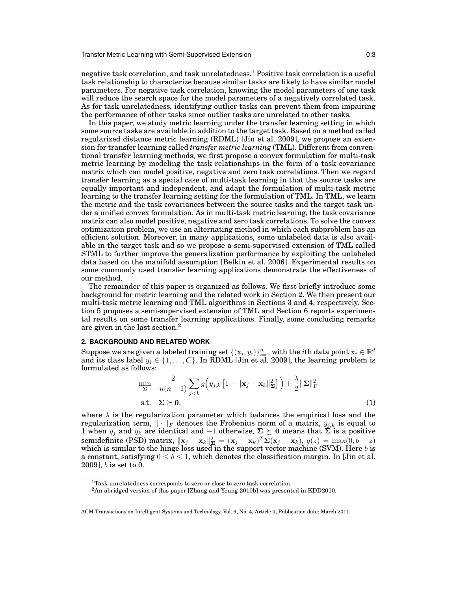negative task correlation, and task unrelatedness.<sup>1</sup> Positive task correlation is a useful task relationship to characterize because similar tasks are likely to have similar model parameters. For negative task correlation, knowing the model parameters of one task will reduce the search space for the model parameters of a negatively correlated task. As for task unrelatedness, identifying outlier tasks can prevent them from impairing the performance of other tasks since outlier tasks are unrelated to other tasks.

In this paper, we study metric learning under the transfer learning setting in which some source tasks are available in addition to the target task. Based on a method called regularized distance metric learning (RDML) [Jin et al. 2009], we propose an extension for transfer learning called *transfer metric learning* (TML). Different from conventional transfer learning methods, we first propose a convex formulation for multi-task metric learning by modeling the task relationships in the form of a task covariance matrix which can model positive, negative and zero task correlations. Then we regard transfer learning as a special case of multi-task learning in that the source tasks are equally important and independent, and adapt the formulation of multi-task metric learning to the transfer learning setting for the formulation of TML. In TML, we learn the metric and the task covariances between the source tasks and the target task under a unified convex formulation. As in multi-task metric learning, the task covariance matrix can also model positive, negative and zero task correlations. To solve the convex optimization problem, we use an alternating method in which each subproblem has an efficient solution. Moreover, in many applications, some unlabeled data is also available in the target task and so we propose a semi-supervised extension of TML called STML to further improve the generalization performance by exploiting the unlabeled data based on the manifold assumption [Belkin et al. 2006]. Experimental results on some commonly used transfer learning applications demonstrate the effectiveness of our method.

The remainder of this paper is organized as follows. We first briefly introduce some background for metric learning and the related work in Section 2. We then present our multi-task metric learning and TML algorithms in Sections 3 and 4, respectively. Section 5 proposes a semi-supervised extension of TML and Section 6 reports experimental results on some transfer learning applications. Finally, some concluding remarks are given in the last section.<sup>2</sup>

### **2. BACKGROUND AND RELATED WORK**

 $\text{Suppose we are given a labeled training set } \{(\mathbf{x}_i, y_i)\}_{i=1}^n \text{ with the } i\text{th data point } \mathbf{x}_i \in \mathbb{R}^d$ and its class label  $y_i \in \{1, \ldots, C\}$ . In RDML [Jin et al. 2009], the learning problem is formulated as follows:

$$
\min_{\Sigma} \quad \frac{2}{n(n-1)} \sum_{j < k} g\left(y_{j,k} \left[1 - \|\mathbf{x}_j - \mathbf{x}_k\|_{\Sigma}^2\right]\right) + \frac{\lambda}{2} \|\Sigma\|_F^2
$$
\n
$$
\text{s.t.} \quad \Sigma \succeq \mathbf{0},\tag{1}
$$

where  $\lambda$  is the regularization parameter which balances the empirical loss and the regularization term,  $\|\cdot\|_F$  denotes the Frobenius norm of a matrix,  $y_{i,k}$  is equal to 1 when  $y_j$  and  $y_k$  are identical and  $-1$  otherwise,  $Σ ≥ 0$  means that  $Σ$  is a positive semidefinite (PSD) matrix,  $||\mathbf{x}_j - \mathbf{x}_k||^2_{\mathbf{\Sigma}} = (\mathbf{x}_j - \mathbf{x}_k)^T \mathbf{\Sigma} (\mathbf{x}_j - \mathbf{x}_k), g(z) = \max(0, b - z)$ which is similar to the hinge loss used in the support vector machine (SVM). Here  $b$  is a constant, satisfying  $0 \leq b \leq 1$ , which denotes the classification margin. In [Jin et al. 2009],  $b$  is set to 0.

<sup>1</sup>Task unrelatedness corresponds to zero or close to zero task correlation.

<sup>&</sup>lt;sup>2</sup>An abridged version of this paper [Zhang and Yeung 2010b] was presented in KDD2010.

ACM Transactions on Intelligent Systems and Technology, Vol. 9, No. 4, Article 0, Publication date: March 2011.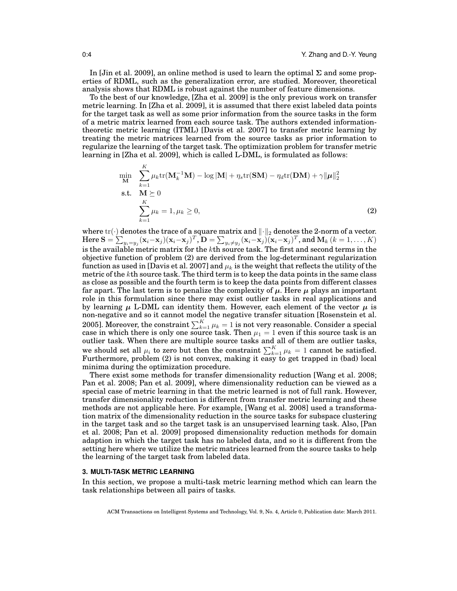In [Jin et al. 2009], an online method is used to learn the optimal **Σ** and some properties of RDML, such as the generalization error, are studied. Moreover, theoretical analysis shows that RDML is robust against the number of feature dimensions.

To the best of our knowledge, [Zha et al. 2009] is the only previous work on transfer metric learning. In [Zha et al. 2009], it is assumed that there exist labeled data points for the target task as well as some prior information from the source tasks in the form of a metric matrix learned from each source task. The authors extended informationtheoretic metric learning (ITML) [Davis et al. 2007] to transfer metric learning by treating the metric matrices learned from the source tasks as prior information to regularize the learning of the target task. The optimization problem for transfer metric learning in [Zha et al. 2009], which is called L-DML, is formulated as follows:

$$
\min_{\mathbf{M}} \sum_{k=1}^{K} \mu_k \text{tr}(\mathbf{M}_k^{-1} \mathbf{M}) - \log |\mathbf{M}| + \eta_s \text{tr}(\mathbf{S} \mathbf{M}) - \eta_d \text{tr}(\mathbf{D} \mathbf{M}) + \gamma ||\boldsymbol{\mu}||_2^2
$$
\n  
\n**s.t.**  $\mathbf{M} \succeq 0$   
\n
$$
\sum_{k=1}^{K} \mu_k = 1, \mu_k \ge 0,
$$
\n(2)

where tr(*⋅*) denotes the trace of a square matrix and *∥⋅∥*<sup>2</sup> denotes the 2-norm of a vector.  $\textbf{Here } \mathbf{S} = \sum_{y_i = y_j} (\mathbf{x}_i - \mathbf{x}_j)(\mathbf{x}_i - \mathbf{x}_j)^T, \textbf{D} = \sum_{y_i \neq y_j} (\mathbf{x}_i - \mathbf{x}_j)(\mathbf{x}_i - \mathbf{x}_j)^T, \text{ and } \textbf{M}_k ~(k=1,\ldots,K)$ is the available metric matrix for the  $k\text{th}$  source task. The first and second terms in the objective function of problem (2) are derived from the log-determinant regularization function as used in [Davis et al. 2007] and  $\mu_k$  is the weight that reflects the utility of the metric of the kth source task. The third term is to keep the data points in the same class as close as possible and the fourth term is to keep the data points from different classes far apart. The last term is to penalize the complexity of  $\mu$ . Here  $\mu$  plays an important role in this formulation since there may exist outlier tasks in real applications and by learning  $\mu$  L-DML can identity them. However, each element of the vector  $\mu$  is non-negative and so it cannot model the negative transfer situation [Rosenstein et al. 2005]. Moreover, the constraint  $\sum_{k=1}^{K} \mu_k = 1$  is not very reasonable. Consider a special case in which there is only one source task. Then  $\mu_1 = 1$  even if this source task is an outlier task. When there are multiple source tasks and all of them are outlier tasks, we should set all  $\mu_i$  to zero but then the constraint  $\sum_{k=1}^{K} \mu_k = 1$  cannot be satisfied. Furthermore, problem (2) is not convex, making it easy to get trapped in (bad) local minima during the optimization procedure.

There exist some methods for transfer dimensionality reduction [Wang et al. 2008; Pan et al. 2008; Pan et al. 2009], where dimensionality reduction can be viewed as a special case of metric learning in that the metric learned is not of full rank. However, transfer dimensionality reduction is different from transfer metric learning and these methods are not applicable here. For example, [Wang et al. 2008] used a transformation matrix of the dimensionality reduction in the source tasks for subspace clustering in the target task and so the target task is an unsupervised learning task. Also, [Pan et al. 2008; Pan et al. 2009] proposed dimensionality reduction methods for domain adaption in which the target task has no labeled data, and so it is different from the setting here where we utilize the metric matrices learned from the source tasks to help the learning of the target task from labeled data.

#### **3. MULTI-TASK METRIC LEARNING**

In this section, we propose a multi-task metric learning method which can learn the task relationships between all pairs of tasks.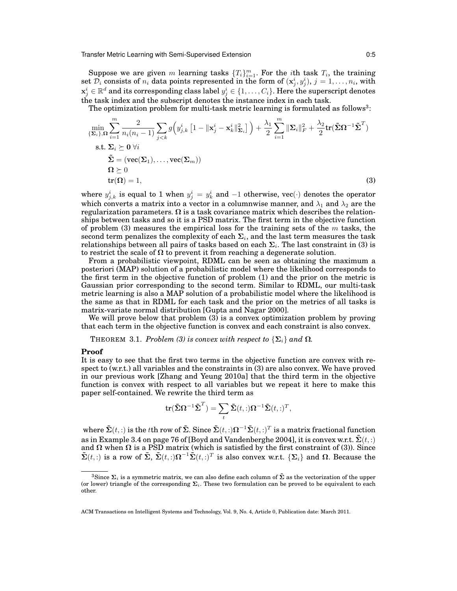Suppose we are given *m* learning tasks  ${T_i}_{i=1}^m$ . For the *i*th task  $T_i$ , the training  ${\rm set} \; \mathcal{D}_i \; \text{consists of} \; n_i \; \text{data points represented in the form of} \; (\mathbf{x}^i_j, y^i_j), \, j=1,\ldots,n_i, \, \text{with}$  $\mathbf{x}^i_j \in \mathbb{R}^d$  and its corresponding class label  $y^i_j \in \{1, \dots, C_i\}.$  Here the superscript denotes the task index and the subscript denotes the instance index in each task.

The optimization problem for multi-task metric learning is formulated as follows<sup>3</sup>:

$$
\min_{\{\Sigma_i\},\Omega} \sum_{i=1}^m \frac{2}{n_i(n_i-1)} \sum_{j < k} g\left(y_{j,k}^i \left[1 - \|\mathbf{x}_j^i - \mathbf{x}_k^i\|_{\mathbf{\Sigma}_i}^2\right]\right) + \frac{\lambda_1}{2} \sum_{i=1}^m \|\mathbf{\Sigma}_i\|_F^2 + \frac{\lambda_2}{2} \text{tr}(\tilde{\mathbf{\Sigma}} \Omega^{-1} \tilde{\mathbf{\Sigma}}^T)
$$
\n
$$
\text{s.t. } \Sigma_i \succeq 0 \,\forall i
$$
\n
$$
\tilde{\mathbf{\Sigma}} = (\text{vec}(\Sigma_1), \dots, \text{vec}(\Sigma_m))
$$
\n
$$
\Omega \succeq 0
$$
\n
$$
\text{tr}(\Omega) = 1,
$$
\n(3)

where  $y_{j,k}^i$  is equal to 1 when  $y_j^i = y_k^i$  and  $-1$  otherwise, vec $(\cdot)$  denotes the operator which converts a matrix into a vector in a columnwise manner, and  $\lambda_1$  and  $\lambda_2$  are the regularization parameters. **Ω** is a task covariance matrix which describes the relationships between tasks and so it is a PSD matrix. The first term in the objective function of problem (3) measures the empirical loss for the training sets of the  $m$  tasks, the second term penalizes the complexity of each  $\boldsymbol{\Sigma}_i$ , and the last term measures the task relationships between all pairs of tasks based on each  $\boldsymbol{\Sigma}_i.$  The last constraint in (3) is to restrict the scale of  $\Omega$  to prevent it from reaching a degenerate solution.

From a probabilistic viewpoint, RDML can be seen as obtaining the maximum a posteriori (MAP) solution of a probabilistic model where the likelihood corresponds to the first term in the objective function of problem (1) and the prior on the metric is Gaussian prior corresponding to the second term. Similar to RDML, our multi-task metric learning is also a MAP solution of a probabilistic model where the likelihood is the same as that in RDML for each task and the prior on the metrics of all tasks is matrix-variate normal distribution [Gupta and Nagar 2000].

We will prove below that problem (3) is a convex optimization problem by proving that each term in the objective function is convex and each constraint is also convex.

**THEOREM** 3.1. *Problem* (3) is convex with respect to  $\{\Sigma_i\}$  and  $\Omega$ *.* 

#### **Proof**

It is easy to see that the first two terms in the objective function are convex with respect to (w.r.t.) all variables and the constraints in (3) are also convex. We have proved in our previous work [Zhang and Yeung 2010a] that the third term in the objective function is convex with respect to all variables but we repeat it here to make this paper self-contained. We rewrite the third term as

$$
\mathrm{tr}(\tilde{\boldsymbol{\Sigma}}\boldsymbol{\Omega}^{-1}\tilde{\boldsymbol{\Sigma}}^T)=\sum_{t}\tilde{\boldsymbol{\Sigma}}(t,:)\boldsymbol{\Omega}^{-1}\tilde{\boldsymbol{\Sigma}}(t,:)^T,
$$

where  $\tilde{\mathbf{\Sigma}}(t,:)$  is the  $t$ th row of  $\tilde{\mathbf{\Sigma}}$ . Since  $\tilde{\mathbf{\Sigma}}(t,:) \mathbf{\Omega}^{-1} \tilde{\mathbf{\Sigma}}(t,:)^T$  is a matrix fractional function as in Example 3.4 on page 76 of [Boyd and Vandenberghe 2004], it is convex w.r.t.  $\tilde{\Sigma}(t, \cdot)$ and  $\Omega$  when  $\Omega$  is a PSD matrix (which is satisfied by the first constraint of (3)). Since  $\tilde{\mathbf{\Sigma}}(t,:)$  is a row of  $\tilde{\mathbf{\Sigma}}, \ \tilde{\mathbf{\Sigma}}(t,:) \mathbf{\Omega}^{-1} \tilde{\mathbf{\Sigma}}(t,:)^T$  is also convex w.r.t.  $\{\mathbf{\Sigma}_i\}$  and  $\mathbf{\Omega}.$  Because the

<sup>&</sup>lt;sup>3</sup>Since  $\Sigma_i$  is a symmetric matrix, we can also define each column of  $\tilde{\Sigma}$  as the vectorization of the upper (or lower) triangle of the corresponding  $\Sigma_i$ . These two formulation can be proved to be equivalent to each other.

ACM Transactions on Intelligent Systems and Technology, Vol. 9, No. 4, Article 0, Publication date: March 2011.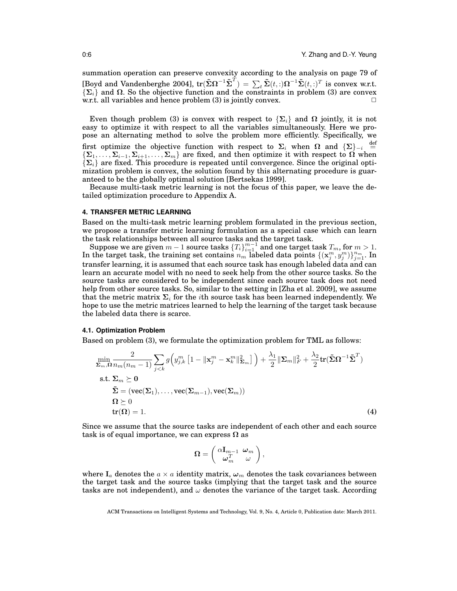summation operation can preserve convexity according to the analysis on page 79 of  $[\text{Boyd and Vandenberghe 2004]}, \text{ tr}(\tilde{\boldsymbol{\Sigma}} \boldsymbol{\Omega}^{-1} \tilde{\boldsymbol{\Sigma}}^T) = \sum_t \tilde{\boldsymbol{\Sigma}}(t,.) \boldsymbol{\Omega}^{-1} \tilde{\boldsymbol{\Sigma}}(t,.)^T \text{ is convex w.r.t. }$ *{***Σ***}* and **Ω**. So the objective function and the constraints in problem (3) are convex w.r.t. all variables and hence problem  $(3)$  is jointly convex.

Even though problem (3) is convex with respect to  $\{\mathbf{\Sigma}_i\}$  and  $\Omega$  jointly, it is not easy to optimize it with respect to all the variables simultaneously. Here we propose an alternating method to solve the problem more efficiently. Specifically, we first optimize the objective function with respect to  $\Sigma_i$  when  $\Omega$  and  ${\Sigma}_{i}$ <sub>*-i*</sub>  $\stackrel{\text{def}}{=}$  $\{\Sigma_1, \ldots, \Sigma_{i-1}, \Sigma_{i+1}, \ldots, \Sigma_m\}$  are fixed, and then optimize it with respect to  $\Omega$  when *{***Σ***}* are fixed. This procedure is repeated until convergence. Since the original optimization problem is convex, the solution found by this alternating procedure is guaranteed to be the globally optimal solution [Bertsekas 1999].

Because multi-task metric learning is not the focus of this paper, we leave the detailed optimization procedure to Appendix A.

#### **4. TRANSFER METRIC LEARNING**

Based on the multi-task metric learning problem formulated in the previous section, we propose a transfer metric learning formulation as a special case which can learn the task relationships between all source tasks and the target task.

Suppose we are given  $m-1$  source tasks  ${T_i}_{i=1}^{m-1}$  and one target task  $T_m$ , for  $m>1$ . In the target task, the training set contains  $n_m$  labeled data points  $\{(\mathbf{x}_j^m, y_j^m)\}_{j=1}^{n_m}$ . In transfer learning, it is assumed that each source task has enough labeled data and can learn an accurate model with no need to seek help from the other source tasks. So the source tasks are considered to be independent since each source task does not need help from other source tasks. So, similar to the setting in [Zha et al. 2009], we assume that the metric matrix  $\Sigma_i$  for the *i*th source task has been learned independently. We hope to use the metric matrices learned to help the learning of the target task because the labeled data there is scarce.

#### **4.1. Optimization Problem**

Based on problem (3), we formulate the optimization problem for TML as follows:

$$
\min_{\Sigma_m,\Omega} \frac{2}{n_m(n_m-1)} \sum_{j < k} g\Big(y_{j,k}^m \left[1 - \|\mathbf{x}_j^m - \mathbf{x}_k^m\|_{\Sigma_m}^2\right]\Big) + \frac{\lambda_1}{2} \|\Sigma_m\|_F^2 + \frac{\lambda_2}{2} \text{tr}(\tilde{\Sigma}\Omega^{-1}\tilde{\Sigma}^T)
$$
\n
$$
\text{s.t. } \Sigma_m \succeq \mathbf{0}
$$
\n
$$
\tilde{\Sigma} = (\text{vec}(\Sigma_1), \dots, \text{vec}(\Sigma_{m-1}), \text{vec}(\Sigma_m))
$$
\n
$$
\Omega \succeq 0
$$
\n
$$
\text{tr}(\Omega) = 1.
$$
\n(4)

Since we assume that the source tasks are independent of each other and each source task is of equal importance, we can express  $\Omega$  as

$$
\mathbf{\Omega} = \left( \begin{array}{cc} \alpha \mathbf{I}_{m-1} & \boldsymbol{\omega}_m \\ \boldsymbol{\omega}_m^T & \omega \end{array} \right),
$$

where  $I_a$  denotes the  $a \times a$  identity matrix,  $\omega_m$  denotes the task covariances between the target task and the source tasks (implying that the target task and the source tasks are not independent), and  $\omega$  denotes the variance of the target task. According

ACM Transactions on Intelligent Systems and Technology, Vol. 9, No. 4, Article 0, Publication date: March 2011.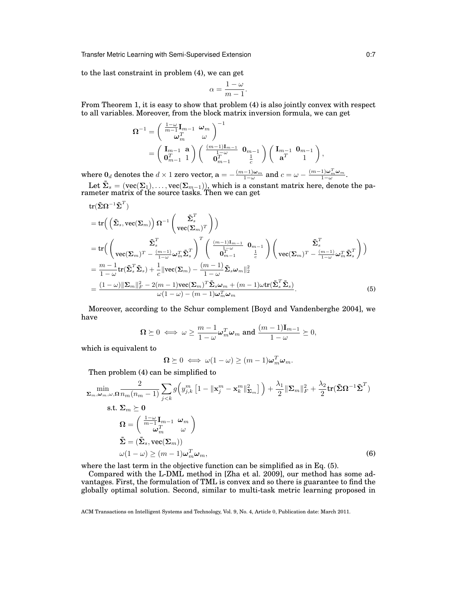to the last constraint in problem (4), we can get

$$
\alpha = \frac{1 - \omega}{m - 1}.
$$

From Theorem 1, it is easy to show that problem (4) is also jointly convex with respect to all variables. Moreover, from the block matrix inversion formula, we can get

$$
\begin{aligned} \boldsymbol{\Omega}^{-1} &= \left( \begin{array}{c} \frac{1-\omega}{m-1} \mathbf{I}_{m-1} \ \ \omega_m^T \ \ \omega_m^T \ \ \end{array} \right)^{-1} \\ &= \left( \begin{array}{c} \mathbf{I}_{m-1} \ \ \mathbf{a} \\ \mathbf{0}_{m-1}^T \ \ 1 \end{array} \right) \left( \begin{array}{c} \frac{(m-1) \mathbf{I}_{m-1}}{1-\omega} \ \ \mathbf{0}_{m-1} \ \ \frac{1}{c} \end{array} \right) \left( \begin{array}{cc} \mathbf{I}_{m-1} \ \ \mathbf{a}^T \ \ \end{array} \right), \end{aligned}
$$

where  $\mathbf{0}_d$  denotes the  $d \times 1$  zero vector,  $\mathbf{a} = -\frac{(m-1)\boldsymbol{\omega}_m}{1-\boldsymbol{\omega}}$  and  $c = \boldsymbol{\omega} - \frac{(m-1)\boldsymbol{\omega}_m^T\boldsymbol{\omega}_m}{1-\boldsymbol{\omega}}.$ 

Let  $\tilde{\mathbf{\Sigma}}_s = (\text{vec}(\mathbf{\Sigma}_1), \dots, \text{vec}(\mathbf{\Sigma}_{m-1})),$  which is a constant matrix here, denote the parameter matrix of the source tasks. Then we can get

tr(
$$
\tilde{\Sigma}\Omega^{-1}\tilde{\Sigma}^{T}
$$
)  
\n
$$
= tr((\tilde{\Sigma}_{s}, vec(\Sigma_{m})) \Omega^{-1} (\begin{matrix} \tilde{\Sigma}_{s}^{T} \\ vec(\Sigma_{m})^{T} \end{matrix}))
$$
\n
$$
= tr((\begin{matrix} \tilde{\Sigma}_{s}^{T} \\ vec(\Sigma_{m})^{T} - \frac{(m-1)}{1-\omega} \omega_{m}^{T} \tilde{\Sigma}_{s}^{T} \end{matrix})^{T} (\begin{matrix} \frac{(m-1)\mathbf{I}_{m-1}}{1-\omega} & \mathbf{0}_{m-1} \\ \mathbf{0}_{m-1}^{T} & \frac{1}{c} \end{matrix}) (\begin{matrix} \tilde{\Sigma}_{s}^{T} \\ vec(\Sigma_{m})^{T} - \frac{(m-1)}{1-\omega} \omega_{m}^{T} \tilde{\Sigma}_{s}^{T} \end{matrix}))
$$
\n
$$
= \frac{m-1}{1-\omega} tr(\tilde{\Sigma}_{s}^{T} \tilde{\Sigma}_{s}) + \frac{1}{c} || vec(\Sigma_{m}) - \frac{(m-1)}{1-\omega} \tilde{\Sigma}_{s} \omega_{m} ||_{2}^{2}
$$
\n
$$
= \frac{(1-\omega) ||\Sigma_{m}||_{F}^{2} - 2(m-1) vec(\Sigma_{m})^{T} \tilde{\Sigma}_{s} \omega_{m} + (m-1) \omega tr(\tilde{\Sigma}_{s}^{T} \tilde{\Sigma}_{s})}{\omega(1-\omega) - (m-1) \omega_{m}^{T} \omega_{m}}.
$$
\n(5)

Moreover, according to the Schur complement [Boyd and Vandenberghe 2004], we have

$$
\Omega \succeq 0 \iff \omega \ge \frac{m-1}{1-\omega} \omega_m^T \omega_m \text{ and } \frac{(m-1)\mathbf{I}_{m-1}}{1-\omega} \succeq 0,
$$

which is equivalent to

$$
\Omega \succeq 0 \iff \omega(1-\omega) \ge (m-1)\omega_m^T \omega_m.
$$

Then problem (4) can be simplified to

$$
\min_{\Sigma_m,\omega_m,\omega,\Omega} \frac{2}{n_m(n_m-1)} \sum_{j < k} g\left(y_{j,k}^m \left[1 - \|\mathbf{x}_j^m - \mathbf{x}_k^m\|_{\Sigma_m}^2\right]\right) + \frac{\lambda_1}{2} \|\Sigma_m\|_F^2 + \frac{\lambda_2}{2} \text{tr}(\tilde{\Sigma}\Omega^{-1}\tilde{\Sigma}^T)
$$
\n
$$
\text{s.t. } \Sigma_m \succeq \mathbf{0}
$$
\n
$$
\Omega = \begin{pmatrix} \frac{1-\omega}{m-1}\mathbf{I}_{m-1} & \omega_m \\ \omega_m^T & \omega \end{pmatrix}
$$
\n
$$
\tilde{\Sigma} = (\tilde{\Sigma}_s, \text{vec}(\Sigma_m))
$$
\n
$$
\omega(1-\omega) \ge (m-1)\omega_m^T \omega_m,
$$
\n(6)

where the last term in the objective function can be simplified as in Eq. (5).

Compared with the L-DML method in [Zha et al. 2009], our method has some advantages. First, the formulation of TML is convex and so there is guarantee to find the globally optimal solution. Second, similar to multi-task metric learning proposed in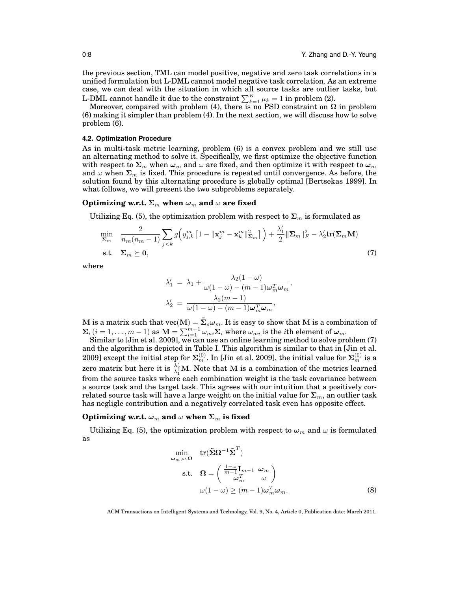the previous section, TML can model positive, negative and zero task correlations in a unified formulation but L-DML cannot model negative task correlation. As an extreme case, we can deal with the situation in which all source tasks are outlier tasks, but L-DML cannot handle it due to the constraint  $\sum_{k=1}^{K} \mu_k = 1$  in problem (2).

Moreover, compared with problem (4), there is no PSD constraint on **Ω** in problem (6) making it simpler than problem (4). In the next section, we will discuss how to solve problem (6).

### **4.2. Optimization Procedure**

As in multi-task metric learning, problem (6) is a convex problem and we still use an alternating method to solve it. Specifically, we first optimize the objective function with respect to  $\Sigma_m$  when  $\omega_m$  and  $\omega$  are fixed, and then optimize it with respect to  $\omega_m$ and  $\omega$  when  $\Sigma_m$  is fixed. This procedure is repeated until convergence. As before, the solution found by this alternating procedure is globally optimal [Bertsekas 1999]. In what follows, we will present the two subproblems separately.

# **Optimizing w.r.t.**  $\Sigma_m$  when  $\omega_m$  and  $\omega$  are fixed

Utilizing Eq. (5), the optimization problem with respect to  $\Sigma_m$  is formulated as

$$
\min_{\Sigma_m} \quad \frac{2}{n_m(n_m-1)} \sum_{j < k} g\left(y_{j,k}^m \left[1 - \|\mathbf{x}_j^m - \mathbf{x}_k^m\|_{\Sigma_m}^2\right]\right) + \frac{\lambda_1'}{2} \|\Sigma_m\|_F^2 - \lambda_2' \text{tr}(\Sigma_m \mathbf{M})
$$
\ns.t.

\n
$$
\Sigma_m \succeq \mathbf{0},
$$
\n(7)

where

$$
\lambda'_1 = \lambda_1 + \frac{\lambda_2(1-\omega)}{\omega(1-\omega) - (m-1)\omega_m^T \omega_m}
$$

$$
\lambda'_2 = \frac{\lambda_2(m-1)}{\omega(1-\omega) - (m-1)\omega_m^T \omega_m},
$$

 $M$  is a matrix such that  $\text{vec}(M) = \tilde{\Sigma}_s \omega_m$ . It is easy to show that  $M$  is a combination of  $\Sigma_i$  ( $i = 1, ..., m-1$ ) as  $\mathbf{M} = \sum_{i=1}^{m-1} \omega_{mi} \Sigma_i$  where  $\omega_{mi}$  is the *i*th element of  $\omega_m$ .

Similar to [Jin et al. 2009], we can use an online learning method to solve problem (7) and the algorithm is depicted in Table I. This algorithm is similar to that in [Jin et al.  $2009$ ] except the initial step for  $\Sigma_m^{(0)}$ . In [Jin et al. 2009], the initial value for  $\Sigma_m^{(0)}$  is a zero matrix but here it is  $\frac{\lambda'_2}{\lambda'_1}M$ . Note that M is a combination of the metrics learned from the source tasks where each combination weight is the task covariance between a source task and the target task. This agrees with our intuition that a positively correlated source task will have a large weight on the initial value for  $\Sigma_m$ , an outlier task has negligle contribution and a negatively correlated task even has opposite effect.

#### **Optimizing w.r.t.**  $\omega_m$  and  $\omega$  when  $\Sigma_m$  is fixed

Utilizing Eq. (5), the optimization problem with respect to  $\omega_m$  and  $\omega$  is formulated as

$$
\min_{\boldsymbol{\omega}_{m},\omega,\Omega} \quad \text{tr}(\tilde{\boldsymbol{\Sigma}}\Omega^{-1}\tilde{\boldsymbol{\Sigma}}^{T})
$$
\n
$$
\text{s.t.} \quad \Omega = \begin{pmatrix} \frac{1-\omega}{m-1}\mathbf{I}_{m-1} & \omega_{m} \\ \omega_{m}^{T} & \omega \end{pmatrix}
$$
\n
$$
\omega(1-\omega) \geq (m-1)\omega_{m}^{T}\omega_{m}.
$$
\n(8)

*,*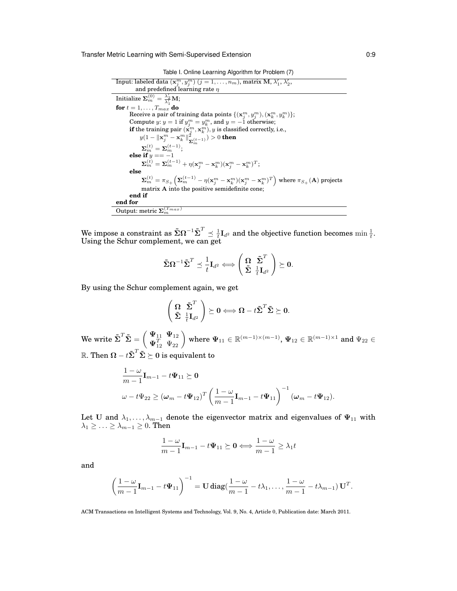Table I. Online Learning Algorithm for Problem (7)

 ${\rm Input:}\ {\rm labeled\ data\ }({\bf x}_j^m,y_j^m)\ (j=1,\ldots,n_m),\ {\rm matrix\ }{\bf M},\ \lambda_1',\ \lambda_2',$ and predefined learning rate  $\eta$  $\text{Initialize } \mathbf{\Sigma}_m^{(0)} = \frac{\lambda_2'}{\lambda_1'} \mathbf{M};$  $\mathbf{for} \ t = 1, \ldots, T_{max} \ \mathbf{do}$ Receive a pair of training data points  $\{(\mathbf{x}_j^m, y_j^m), (\mathbf{x}_k^m, y_k^m)\};$ Compute  $y: y = 1$  if  $y_j^m = y_k^m$ , and  $y = -1$  otherwise; **if** the training pair  $(\mathbf{x}_j^m, \mathbf{x}_k^m), y$  is classified correctly, i.e.,  $y(1 - \|\mathbf{x}_j^m - \mathbf{x}_k^m\|_{\mathbf{x}_j}^2)$  $\left(\frac{2}{\mathbf{\Sigma}_m^{(t-1)}}\right) > 0$  then  $\mathbf{\Sigma}_m^{(t)}=\mathbf{\Sigma}_m^{(t-1)};$ **else if**  $y == -1$  $\boldsymbol{\Sigma}_m^{(t)} = \boldsymbol{\Sigma}_m^{(t-1)} + \eta (\mathbf{x}_j^m - \mathbf{x}_k^m)(\mathbf{x}_j^m - \mathbf{x}_k^m)^T;$ **else**  $\boldsymbol{\Sigma}^{(t)}_m = \pi_{S_+}\left(\boldsymbol{\Sigma}^{(t-1)}_m - \eta(\mathbf{x}^m_j - \mathbf{x}^m_k)(\mathbf{x}^m_j - \mathbf{x}^m_k)^T\right)$  where  $\pi_{S_+}(\mathbf{A})$  projects matrix **A** into the positive semidefinite cone; **end if end for**  $\text{Output: metric } \mathbf{\Sigma}^{(T_{max})}_m$ 

We impose a constraint as  $\tilde{\Sigma} \Omega^{-1} \tilde{\Sigma}^T \preceq \frac{1}{t} \mathbf{I}_{d^2}$  and the objective function becomes  $\min \frac{1}{t}$ . Using the Schur complement, we can get

$$
\tilde{\mathbf{\Sigma}}\mathbf{\Omega}^{-1}\tilde{\mathbf{\Sigma}}^T \preceq \frac{1}{t}\mathbf{I}_{d^2} \Longleftrightarrow \left(\frac{\mathbf{\Omega}}{\tilde{\mathbf{\Sigma}}}\ \frac{\tilde{\mathbf{\Sigma}}^T}{\frac{1}{t}\mathbf{I}_{d^2}}\right) \succeq \mathbf{0}.
$$

By using the Schur complement again, we get

$$
\left(\begin{matrix}\boldsymbol{\Omega}&\tilde{\boldsymbol{\Sigma}}^T\\\tilde{\boldsymbol{\Sigma}}&\frac{1}{t}\mathbf{I}_{d^2}\end{matrix}\right)\succeq \mathbf{0} \Longleftrightarrow \boldsymbol{\Omega}-t\tilde{\boldsymbol{\Sigma}}^T\tilde{\boldsymbol{\Sigma}}\succeq \mathbf{0}.
$$

 $\mathbf{W}$ e write  $\tilde{\boldsymbol{\Sigma}}^T \tilde{\boldsymbol{\Sigma}} = \begin{pmatrix} \boldsymbol{\Psi}_{11} & \boldsymbol{\Psi}_{12} \\ \mathbf{F}^T & \mathbf{F} \end{pmatrix}$  $\begin{pmatrix} \Psi_{11} & \Psi_{12} \ \Psi_{12}^T & \Psi_{22} \end{pmatrix}$  where  $\Psi_{11} \in \mathbb{R}^{(m-1)\times (m-1)}$ ,  $\Psi_{12} \in \mathbb{R}^{(m-1)\times 1}$  and  $\Psi_{22} \in \mathbb{R}^{(m-1)\times 1}$  $\mathbb{R}.$  Then  $\boldsymbol{\Omega}-t\tilde{\boldsymbol{\Sigma}}^T\tilde{\boldsymbol{\Sigma}}\succeq\boldsymbol{0}$  is equivalent to

$$
\frac{1-\omega}{m-1}\mathbf{I}_{m-1}-t\Psi_{11}\succeq \mathbf{0}
$$
\n
$$
\omega-t\Psi_{22}\geq (\omega_m-t\Psi_{12})^T\left(\frac{1-\omega}{m-1}\mathbf{I}_{m-1}-t\Psi_{11}\right)^{-1}(\omega_m-t\Psi_{12}).
$$

Let U and  $\lambda_1, \ldots, \lambda_{m-1}$  denote the eigenvector matrix and eigenvalues of  $\Psi_{11}$  with  $\lambda_1 \geq \ldots \geq \lambda_{m-1} \geq 0$ . Then

$$
\frac{1-\omega}{m-1}\mathbf{I}_{m-1}-t\Psi_{11}\succeq\mathbf{0}\Longleftrightarrow\frac{1-\omega}{m-1}\geq\lambda_1 t
$$

and

$$
\left(\frac{1-\omega}{m-1}\mathbf{I}_{m-1}-t\Psi_{11}\right)^{-1}=\mathbf{U}\operatorname{diag}\left(\frac{1-\omega}{m-1}-t\lambda_1,\ldots,\frac{1-\omega}{m-1}-t\lambda_{m-1}\right)\mathbf{U}^T.
$$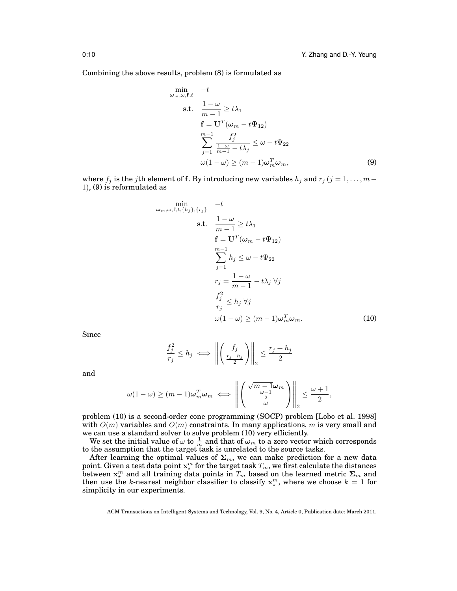Combining the above results, problem (8) is formulated as

$$
\min_{\omega_m, \omega, \mathbf{f}, t} \quad -t
$$
\n
$$
\text{s.t.} \quad \frac{1-\omega}{m-1} \ge t\lambda_1
$$
\n
$$
\mathbf{f} = \mathbf{U}^T(\omega_m - t\mathbf{\Psi}_{12})
$$
\n
$$
\sum_{j=1}^{m-1} \frac{f_j^2}{\frac{1-\omega}{m-1} - t\lambda_j} \le \omega - t\mathbf{\Psi}_{22}
$$
\n
$$
\omega(1-\omega) \ge (m-1)\omega_m^T \omega_m,
$$
\n(9)

where  $f_j$  is the j<sup>th</sup> element of **f**. By introducing new variables  $h_j$  and  $r_j$  ( $j = 1, ..., m - 1$ 1), (9) is reformulated as

$$
\min_{\omega_m,\omega,\mathbf{f},t,\{h_j\},\{r_j\}} \quad -t
$$
\n
$$
\text{s.t.} \quad \frac{1-\omega}{m-1} \ge t\lambda_1
$$
\n
$$
\mathbf{f} = \mathbf{U}^T(\omega_m - t\mathbf{\Psi}_{12})
$$
\n
$$
\sum_{j=1}^{m-1} h_j \le \omega - t\mathbf{\Psi}_{22}
$$
\n
$$
r_j = \frac{1-\omega}{m-1} - t\lambda_j \ \forall j
$$
\n
$$
\frac{f_j^2}{r_j} \le h_j \ \forall j
$$
\n
$$
\omega(1-\omega) \ge (m-1)\omega_m^T \omega_m. \tag{10}
$$

Since

$$
\frac{f_j^2}{r_j} \le h_j \iff \left\| \left( \frac{f_j}{\frac{r_j - h_j}{2}} \right) \right\|_2 \le \frac{r_j + h_j}{2}
$$

and

$$
\omega(1-\omega) \ge (m-1)\omega_m^T \omega_m \iff \left\|\left(\frac{\sqrt{m-1}\omega_m}{\frac{\omega-1}{2}}\right)\right\|_2 \le \frac{\omega+1}{2},
$$

problem (10) is a second-order cone programming (SOCP) problem [Lobo et al. 1998] with  $O(m)$  variables and  $O(m)$  constraints. In many applications, m is very small and we can use a standard solver to solve problem (10) very efficiently.

We set the initial value of  $\omega$  to  $\frac{1}{m}$  and that of  $\omega_m$  to a zero vector which corresponds to the assumption that the target task is unrelated to the source tasks.

After learning the optimal values of  $\Sigma_m$ , we can make prediction for a new data point. Given a test data point  $\mathbf{x}_{\star}^{m}$  for the target task  $T_{m}$ , we first calculate the distances between  $\mathbf{x}_{\star}^{m}$  and all training data points in  $T_{m}$  based on the learned metric  $\mathbf{\Sigma}_{m}$  and then use the *k*-nearest neighbor classifier to classify  $\mathbf{x}_{*}^{m}$ , where we choose  $k = 1$  for simplicity in our experiments.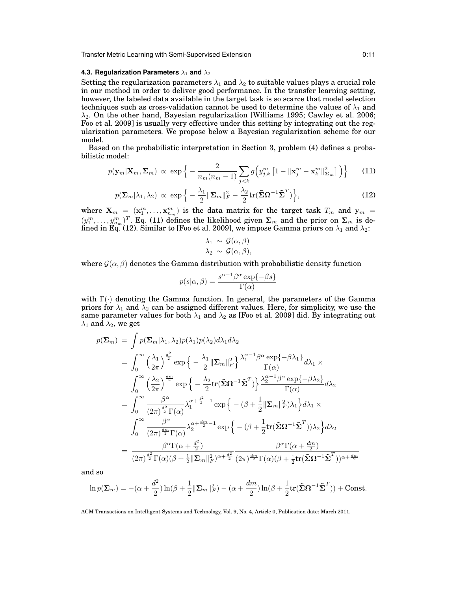### **4.3. Regularization Parameters**  $\lambda_1$  and  $\lambda_2$

Setting the regularization parameters  $\lambda_1$  and  $\lambda_2$  to suitable values plays a crucial role in our method in order to deliver good performance. In the transfer learning setting, however, the labeled data available in the target task is so scarce that model selection techniques such as cross-validation cannot be used to determine the values of  $\lambda_1$  and  $\lambda_2$ . On the other hand, Bayesian regularization [Williams 1995; Cawley et al. 2006; Foo et al. 2009] is usually very effective under this setting by integrating out the regularization parameters. We propose below a Bayesian regularization scheme for our model.

Based on the probabilistic interpretation in Section 3, problem (4) defines a probabilistic model:

$$
p(\mathbf{y}_m|\mathbf{X}_m,\mathbf{\Sigma}_m) \propto \exp\left\{-\frac{2}{n_m(n_m-1)}\sum_{j
$$

$$
p(\mathbf{\Sigma}_m|\lambda_1,\lambda_2) \propto \exp\Big\{-\frac{\lambda_1}{2} \|\mathbf{\Sigma}_m\|_F^2 - \frac{\lambda_2}{2} \text{tr}(\tilde{\mathbf{\Sigma}}\mathbf{\Omega}^{-1}\tilde{\mathbf{\Sigma}}^T)\Big\},\tag{12}
$$

where  $\mathbf{X}_m = (\mathbf{x}_1^m, \dots, \mathbf{x}_{n_m}^m)$  is the data matrix for the target task  $T_m$  and  $\mathbf{y}_m =$  $(y_1^m, \ldots, y_{n_m}^m)^T$ . Eq. (11) defines the likelihood given  $\Sigma_m$  and the prior on  $\Sigma_m$  is defined in Eq. (12). Similar to [Foo et al. 2009], we impose Gamma priors on  $\lambda_1$  and  $\lambda_2$ :

$$
\lambda_1 \sim \mathcal{G}(\alpha, \beta)
$$
  

$$
\lambda_2 \sim \mathcal{G}(\alpha, \beta),
$$

where  $G(\alpha, \beta)$  denotes the Gamma distribution with probabilistic density function

$$
p(s|\alpha, \beta) = \frac{s^{\alpha - 1}\beta^{\alpha} \exp\{-\beta s\}}{\Gamma(\alpha)}
$$

with Γ(*⋅*) denoting the Gamma function. In general, the parameters of the Gamma priors for  $\lambda_1$  and  $\lambda_2$  can be assigned different values. Here, for simplicity, we use the same parameter values for both  $\lambda_1$  and  $\lambda_2$  as [Foo et al. 2009] did. By integrating out  $\lambda_1$  and  $\lambda_2$ , we get

$$
p(\mathbf{\Sigma}_{m}) = \int p(\mathbf{\Sigma}_{m}|\lambda_{1},\lambda_{2})p(\lambda_{1})p(\lambda_{2})d\lambda_{1}d\lambda_{2}
$$
  
\n
$$
= \int_{0}^{\infty} \left(\frac{\lambda_{1}}{2\pi}\right)^{\frac{d^{2}}{2}} \exp\left\{-\frac{\lambda_{1}}{2}\|\mathbf{\Sigma}_{m}\|_{F}^{2}\right\} \frac{\lambda_{1}^{\alpha-1}\beta^{\alpha} \exp\{-\beta\lambda_{1}\}}{\Gamma(\alpha)} d\lambda_{1} \times
$$
  
\n
$$
\int_{0}^{\infty} \left(\frac{\lambda_{2}}{2\pi}\right)^{\frac{dm}{2}} \exp\left\{-\frac{\lambda_{2}}{2}\text{tr}(\tilde{\Sigma}\Omega^{-1}\tilde{\Sigma}^{T})\right\} \frac{\lambda_{2}^{\alpha-1}\beta^{\alpha} \exp\{-\beta\lambda_{2}\}}{\Gamma(\alpha)} d\lambda_{2}
$$
  
\n
$$
= \int_{0}^{\infty} \frac{\beta^{\alpha}}{(2\pi)^{\frac{d^{2}}{2}}\Gamma(\alpha)} \lambda_{1}^{\alpha+\frac{d^{2}}{2}-1} \exp\left\{-\left(\beta+\frac{1}{2}\|\mathbf{\Sigma}_{m}\|_{F}^{2}\right)\lambda_{1}\right\} d\lambda_{1} \times
$$
  
\n
$$
\int_{0}^{\infty} \frac{\beta^{\alpha}}{(2\pi)^{\frac{dm}{2}}\Gamma(\alpha)} \lambda_{2}^{\alpha+\frac{dm}{2}-1} \exp\left\{-\left(\beta+\frac{1}{2}\text{tr}(\tilde{\Sigma}\Omega^{-1}\tilde{\Sigma}^{T})\right)\lambda_{2}\right\} d\lambda_{2}
$$
  
\n
$$
= \frac{\beta^{\alpha}\Gamma(\alpha+\frac{d^{2}}{2})}{(2\pi)^{\frac{d^{2}}{2}}\Gamma(\alpha)(\beta+\frac{1}{2}\|\mathbf{\Sigma}_{m}\|_{F}^{2})^{\alpha+\frac{d^{2}}{2}} \frac{\beta^{\alpha}\Gamma(\alpha+\frac{dm}{2})}{(2\pi)^{\frac{dm}{2}}\Gamma(\alpha)(\beta+\frac{1}{2}\text{tr}(\tilde{\Sigma}\Omega^{-1}\tilde{\Sigma}^{T}))^{\alpha+\frac{dm}{2}}}
$$

and so

$$
\ln p(\mathbf{\Sigma}_m) = -(\alpha + \frac{d^2}{2})\ln(\beta + \frac{1}{2}\|\mathbf{\Sigma}_m\|_F^2) - (\alpha + \frac{dm}{2})\ln(\beta + \frac{1}{2}\text{tr}(\tilde{\mathbf{\Sigma}}\mathbf{\Omega}^{-1}\tilde{\mathbf{\Sigma}}^T)) + \text{Const.}
$$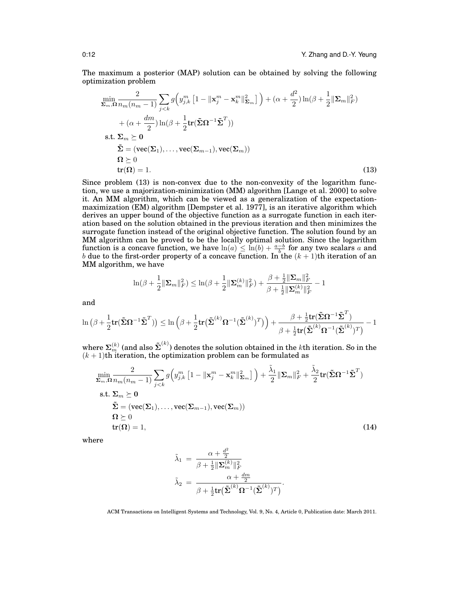The maximum a posterior (MAP) solution can be obtained by solving the following optimization problem

$$
\min_{\Sigma_m,\Omega} \frac{2}{n_m(n_m-1)} \sum_{j < k} g\left(y_{j,k}^m \left[1 - \|\mathbf{x}_j^m - \mathbf{x}_k^m\|_{\Sigma_m}^2\right]\right) + (\alpha + \frac{d^2}{2})\ln(\beta + \frac{1}{2}\|\Sigma_m\|_F^2) \n+ (\alpha + \frac{dm}{2})\ln(\beta + \frac{1}{2}\text{tr}(\tilde{\Sigma}\Omega^{-1}\tilde{\Sigma}^T)) \n\text{s.t. } \Sigma_m \succeq \mathbf{0} \n\tilde{\Sigma} = (\text{vec}(\Sigma_1), \dots, \text{vec}(\Sigma_{m-1}), \text{vec}(\Sigma_m)) \n\Omega \succeq 0 \n\text{tr}(\Omega) = 1.
$$
\n(13)

Since problem (13) is non-convex due to the non-convexity of the logarithm function, we use a majorization-minimization (MM) algorithm [Lange et al. 2000] to solve it. An MM algorithm, which can be viewed as a generalization of the expectationmaximization (EM) algorithm [Dempster et al. 1977], is an iterative algorithm which derives an upper bound of the objective function as a surrogate function in each iteration based on the solution obtained in the previous iteration and then minimizes the surrogate function instead of the original objective function. The solution found by an MM algorithm can be proved to be the locally optimal solution. Since the logarithm function is a concave function, we have  $\ln(a) \leq \ln(b) + \frac{a-b}{b}$  for any two scalars a and b due to the first-order property of a concave function. In the  $(k+1)$ th iteration of an MM algorithm, we have

$$
\ln(\beta + \frac{1}{2} \|\mathbf{\Sigma}_m\|_F^2) \leq \ln(\beta + \frac{1}{2} \|\mathbf{\Sigma}_m^{(k)}\|_F^2) + \frac{\beta + \frac{1}{2} \|\mathbf{\Sigma}_m\|_F^2}{\beta + \frac{1}{2} \|\mathbf{\Sigma}_m^{(k)}\|_F^2} - 1
$$

and

$$
\ln (\beta + \frac{1}{2} \mathbf{tr}(\tilde{\boldsymbol{\Sigma}} \boldsymbol{\Omega}^{-1} \tilde{\boldsymbol{\Sigma}}^T)) \le \ln \left( \beta + \frac{1}{2} \mathbf{tr}(\tilde{\boldsymbol{\Sigma}}^{(k)} \boldsymbol{\Omega}^{-1} (\tilde{\boldsymbol{\Sigma}}^{(k)})^T) \right) + \frac{\beta + \frac{1}{2} \mathbf{tr}(\tilde{\boldsymbol{\Sigma}} \boldsymbol{\Omega}^{-1} \tilde{\boldsymbol{\Sigma}}^T)}{\beta + \frac{1}{2} \mathbf{tr}(\tilde{\boldsymbol{\Sigma}}^{(k)} \boldsymbol{\Omega}^{-1} (\tilde{\boldsymbol{\Sigma}}^{(k)})^T)} - 1
$$

where  $\Sigma_m^{(k)}$  (and also  $\tilde{\Sigma}^{(k)}$ ) denotes the solution obtained in the  $k$ th iteration. So in the  $(k+1)$ th iteration, the optimization problem can be formulated as

$$
\min_{\Sigma_m,\Omega} \frac{2}{n_m(n_m-1)} \sum_{j < k} g\Big(y_{j,k}^m \left[1 - \|\mathbf{x}_j^m - \mathbf{x}_k^m\|_{\Sigma_m}^2\right]\Big) + \frac{\tilde{\lambda}_1}{2} \|\Sigma_m\|_F^2 + \frac{\tilde{\lambda}_2}{2} \text{tr}(\tilde{\Sigma}\Omega^{-1}\tilde{\Sigma}^T)
$$
\n
$$
\text{s.t. } \Sigma_m \succeq \mathbf{0}
$$
\n
$$
\tilde{\Sigma} = (\text{vec}(\Sigma_1), \dots, \text{vec}(\Sigma_{m-1}), \text{vec}(\Sigma_m))
$$
\n
$$
\Omega \succeq 0
$$
\n
$$
\text{tr}(\Omega) = 1,
$$
\n(14)

where

$$
\tilde{\lambda}_1 = \frac{\alpha + \frac{d^2}{2}}{\beta + \frac{1}{2} \|\mathbf{\Sigma}_m^{(k)}\|_F^2}
$$
\n
$$
\tilde{\lambda}_2 = \frac{\alpha + \frac{dm}{2}}{\beta + \frac{1}{2}\text{tr}(\tilde{\mathbf{\Sigma}}^{(k)}\mathbf{\Omega}^{-1}(\tilde{\mathbf{\Sigma}}^{(k)})^T)}.
$$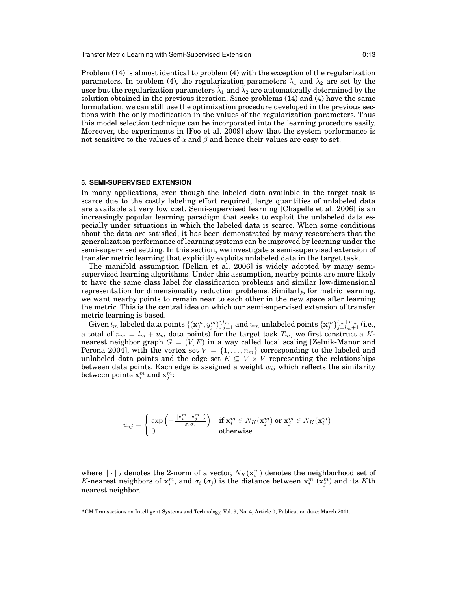Problem (14) is almost identical to problem (4) with the exception of the regularization parameters. In problem (4), the regularization parameters  $\lambda_1$  and  $\lambda_2$  are set by the user but the regularization parameters  $\tilde{\lambda}_1$  and  $\tilde{\lambda}_2$  are automatically determined by the solution obtained in the previous iteration. Since problems (14) and (4) have the same formulation, we can still use the optimization procedure developed in the previous sections with the only modification in the values of the regularization parameters. Thus this model selection technique can be incorporated into the learning procedure easily. Moreover, the experiments in [Foo et al. 2009] show that the system performance is not sensitive to the values of  $\alpha$  and  $\beta$  and hence their values are easy to set.

### **5. SEMI-SUPERVISED EXTENSION**

In many applications, even though the labeled data available in the target task is scarce due to the costly labeling effort required, large quantities of unlabeled data are available at very low cost. Semi-supervised learning [Chapelle et al. 2006] is an increasingly popular learning paradigm that seeks to exploit the unlabeled data especially under situations in which the labeled data is scarce. When some conditions about the data are satisfied, it has been demonstrated by many researchers that the generalization performance of learning systems can be improved by learning under the semi-supervised setting. In this section, we investigate a semi-supervised extension of transfer metric learning that explicitly exploits unlabeled data in the target task.

The manifold assumption [Belkin et al. 2006] is widely adopted by many semisupervised learning algorithms. Under this assumption, nearby points are more likely to have the same class label for classification problems and similar low-dimensional representation for dimensionality reduction problems. Similarly, for metric learning, we want nearby points to remain near to each other in the new space after learning the metric. This is the central idea on which our semi-supervised extension of transfer metric learning is based.

Given  $l_m$  labeled data points  $\{(\mathbf{x}_j^m,y_j^m)\}_{j=1}^{l_m}$  and  $u_m$  unlabeled points  $\{\mathbf{x}_j^m\}_{j=l_m+1}^{l_m+u_m}$  (i.e., a total of  $n_m = l_m + u_m$  data points) for the target task  $T_m$ , we first construct a Knearest neighbor graph  $G = (V, E)$  in a way called local scaling [Zelnik-Manor and Perona 2004], with the vertex set  $V = \{1, \ldots, n_m\}$  corresponding to the labeled and unlabeled data points and the edge set  $E \subseteq V \times V$  representing the relationships between data points. Each edge is assigned a weight  $w_{ij}$  which reflects the similarity  $\text{between points } \mathbf{x}_i^m \text{ and } \mathbf{x}_j^m$ :

$$
w_{ij} = \left\{ \begin{array}{ll} \exp\left(-\frac{\|\mathbf{x}_i^m - \mathbf{x}_j^m\|_2^2}{\sigma_i \sigma_j}\right) & \text{if } \mathbf{x}_i^m \in N_K(\mathbf{x}_j^m) \text{ or } \mathbf{x}_j^m \in N_K(\mathbf{x}_i^m) \\ 0 & \text{otherwise} \end{array} \right.
$$

where  $\|\cdot\|_2$  denotes the 2-norm of a vector,  $N_K(\mathbf{x}_i^m)$  denotes the neighborhood set of K-nearest neighbors of  $x_i^m$ , and  $\sigma_i$  ( $\sigma_j$ ) is the distance between  $x_i^m$  ( $x_j^m$ ) and its Kth nearest neighbor.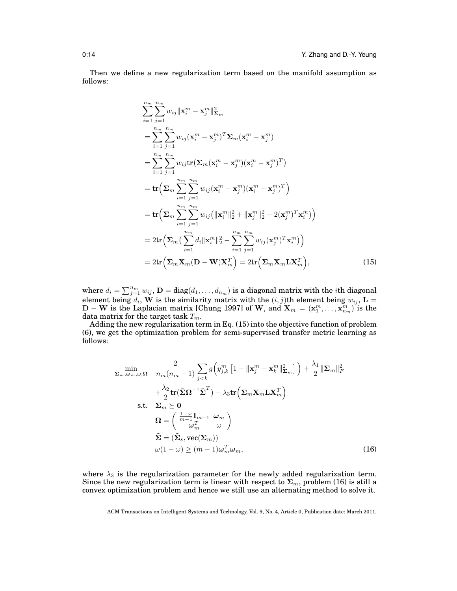Then we define a new regularization term based on the manifold assumption as follows:

$$
\sum_{i=1}^{n_m} \sum_{j=1}^{n_m} w_{ij} ||\mathbf{x}_i^m - \mathbf{x}_j^m||_{\mathbf{\Sigma}_m}^2
$$
\n
$$
= \sum_{i=1}^{n_m} \sum_{j=1}^{n_m} w_{ij} (\mathbf{x}_i^m - \mathbf{x}_j^m)^T \mathbf{\Sigma}_m (\mathbf{x}_i^m - \mathbf{x}_j^m)
$$
\n
$$
= \sum_{i=1}^{n_m} \sum_{j=1}^{n_m} w_{ij} \text{tr} (\mathbf{\Sigma}_m (\mathbf{x}_i^m - \mathbf{x}_j^m) (\mathbf{x}_i^m - \mathbf{x}_j^m)^T)
$$
\n
$$
= \text{tr} (\mathbf{\Sigma}_m \sum_{i=1}^{n_m} \sum_{j=1}^{n_m} w_{ij} (\mathbf{x}_i^m - \mathbf{x}_j^m) (\mathbf{x}_i^m - \mathbf{x}_j^m)^T)
$$
\n
$$
= \text{tr} (\mathbf{\Sigma}_m \sum_{i=1}^{n_m} \sum_{j=1}^{n_m} w_{ij} (||\mathbf{x}_i^m||_2^2 + ||\mathbf{x}_j^m||_2^2 - 2(\mathbf{x}_j^m)^T \mathbf{x}_i^m))
$$
\n
$$
= 2 \text{tr} (\mathbf{\Sigma}_m (\sum_{i=1}^{n_m} d_i ||\mathbf{x}_i^m||_2^2 - \sum_{i=1}^{n_m} \sum_{j=1}^{n_m} w_{ij} (\mathbf{x}_j^m)^T \mathbf{x}_i^m))
$$
\n
$$
= 2 \text{tr} (\mathbf{\Sigma}_m \mathbf{X}_m (\mathbf{D} - \mathbf{W}) \mathbf{X}_m^T) = 2 \text{tr} (\mathbf{\Sigma}_m \mathbf{X}_m \mathbf{L} \mathbf{X}_m^T), \qquad (15)
$$

where  $d_i = \sum_{j=1}^{n_m} w_{ij}$ ,  $\mathbf{D} = \text{diag}(d_1, \dots, d_{n_m})$  is a diagonal matrix with the *i*th diagonal element being  $d_i$ , W is the similarity matrix with the  $(i, j)$ th element being  $w_{ij}$ ,  $\mathbf{L} =$ **D** *−* **W** is the Laplacian matrix [Chung 1997] of **W**, and  $\mathbf{X}_m = (\mathbf{x}_1^m, \dots, \mathbf{x}_{n_m}^m)$  is the data matrix for the target task  $T_m$ .

Adding the new regularization term in Eq. (15) into the objective function of problem (6), we get the optimization problem for semi-supervised transfer metric learning as follows:

$$
\min_{\Sigma_{m},\omega_{m},\omega,\Omega} \quad \frac{2}{n_{m}(n_{m}-1)} \sum_{j\n
$$
+ \frac{\lambda_{2}}{2} \text{tr}(\tilde{\Sigma}\Omega^{-1}\tilde{\Sigma}^{T}) + \lambda_{3} \text{tr}\left(\mathbf{\Sigma}_{m}\mathbf{X}_{m}\mathbf{L}\mathbf{X}_{m}^{T}\right)
$$
\n
$$
\text{s.t.} \quad \Sigma_{m} \succeq \mathbf{0}
$$
\n
$$
\Omega = \begin{pmatrix} \frac{1-\omega}{m-1}\mathbf{I}_{m-1} & \omega_{m} \\ \omega_{m}^{T} & \omega \end{pmatrix}
$$
\n
$$
\tilde{\Sigma} = (\tilde{\Sigma}_{s}, \text{vec}(\Sigma_{m}))
$$
\n
$$
\omega(1-\omega) \geq (m-1)\omega_{m}^{T} \omega_{m}, \qquad (16)
$$
$$

where  $\lambda_3$  is the regularization parameter for the newly added regularization term. Since the new regularization term is linear with respect to  $\Sigma_m$ , problem (16) is still a convex optimization problem and hence we still use an alternating method to solve it.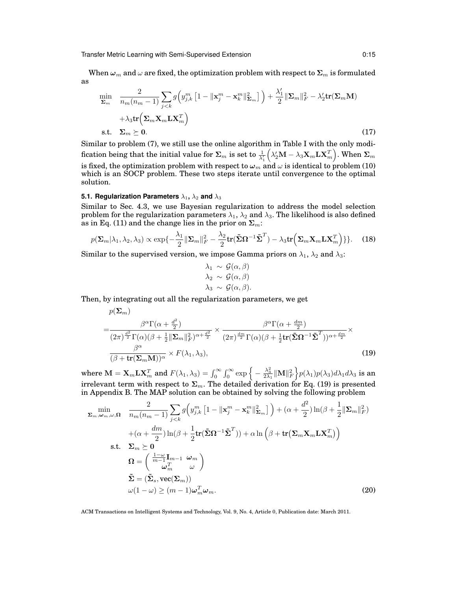When  $\omega_m$  and  $\omega$  are fixed, the optimization problem with respect to  $\Sigma_m$  is formulated as

$$
\min_{\Sigma_m} \quad \frac{2}{n_m(n_m-1)} \sum_{j < k} g\left(y_{j,k}^m \left[1 - \|\mathbf{x}_j^m - \mathbf{x}_k^m\|_{\Sigma_m}^2\right]\right) + \frac{\lambda_1'}{2} \|\Sigma_m\|_F^2 - \lambda_2' \text{tr}(\Sigma_m \mathbf{M})
$$
\n
$$
+ \lambda_3 \text{tr}\left(\Sigma_m \mathbf{X}_m \mathbf{L} \mathbf{X}_m^T\right)
$$
\n
$$
\text{s.t.} \quad \Sigma_m \succeq \mathbf{0}. \tag{17}
$$

Similar to problem (7), we still use the online algorithm in Table I with the only modification being that the initial value for  $\mathbf{\Sigma}_m$  is set to  $\frac{1}{\lambda'_1}$  $(\lambda_2' \mathbf{M} - \lambda_3 \mathbf{X}_m \mathbf{L} \mathbf{X}_m^T)$ . When  $\Sigma_m$ is fixed, the optimization problem with respect to  $\omega_m$  and  $\omega$  is identical to problem (10) which is an SOCP problem. These two steps iterate until convergence to the optimal solution.

# **5.1. Regularization Parameters**  $\lambda_1$ ,  $\lambda_2$  and  $\lambda_3$

(**Σ**)

Similar to Sec. 4.3, we use Bayesian regularization to address the model selection problem for the regularization parameters  $\lambda_1$ ,  $\lambda_2$  and  $\lambda_3$ . The likelihood is also defined as in Eq. (11) and the change lies in the prior on  $\Sigma_m$ :

$$
p(\mathbf{\Sigma}_{m}|\lambda_{1},\lambda_{2},\lambda_{3}) \propto \exp\{-\frac{\lambda_{1}}{2}\|\mathbf{\Sigma}_{m}\|_{F}^{2} - \frac{\lambda_{2}}{2}\mathrm{tr}(\tilde{\mathbf{\Sigma}}\mathbf{\Omega}^{-1}\tilde{\mathbf{\Sigma}}^{T}) - \lambda_{3}\mathrm{tr}\Big(\mathbf{\Sigma}_{m}\mathbf{X}_{m}\mathbf{L}\mathbf{X}_{m}^{T}\Big)\}\}.
$$
 (18)

Similar to the supervised version, we impose Gamma priors on  $\lambda_1$ ,  $\lambda_2$  and  $\lambda_3$ :

$$
\lambda_1 \sim \mathcal{G}(\alpha, \beta)
$$
  
\n
$$
\lambda_2 \sim \mathcal{G}(\alpha, \beta)
$$
  
\n
$$
\lambda_3 \sim \mathcal{G}(\alpha, \beta).
$$

Then, by integrating out all the regularization parameters, we get

$$
p(\Sigma_m)
$$
\n
$$
= \frac{\beta^{\alpha} \Gamma(\alpha + \frac{d^2}{2})}{(2\pi)^{\frac{d^2}{2}} \Gamma(\alpha)(\beta + \frac{1}{2} \|\Sigma_m\|_F^2)^{\alpha + \frac{d^2}{2}}} \times \frac{\beta^{\alpha} \Gamma(\alpha + \frac{dm}{2})}{(2\pi)^{\frac{dm}{2}} \Gamma(\alpha)(\beta + \frac{1}{2} \text{tr}(\tilde{\Sigma} \Omega^{-1} \tilde{\Sigma}^T))^{\alpha + \frac{dm}{2}}} \times \frac{\beta^{\alpha}}{(\beta + \text{tr}(\Sigma_m \mathbf{M}))^{\alpha}} \times F(\lambda_1, \lambda_3),
$$
\n(19)

where  $\mathbf{M} = \mathbf{X}_m \mathbf{L} \mathbf{X}_m^T$  and  $F(\lambda_1, \lambda_3) = \int_0^\infty \int_0^\infty \exp \Big\{ - \frac{\lambda_3^2}{2 \lambda_1} \| \mathbf{M} \|_F^2 \Big\} p(\lambda_1) p(\lambda_3) d\lambda_1 d\lambda_3$  is an irrelevant term with respect to  $\Sigma_m$ . The detailed derivation for Eq. (19) is presented in Appendix B. The MAP solution can be obtained by solving the following problem

$$
\min_{\Sigma_{m},\omega_{m},\omega,\Omega} \quad \frac{2}{n_{m}(n_{m}-1)} \sum_{j\n
$$
+ (\alpha + \frac{dm}{2})\ln(\beta + \frac{1}{2}\text{tr}(\tilde{\Sigma}\Omega^{-1}\tilde{\Sigma}^{T})) + \alpha \ln\left(\beta + \text{tr}(\Sigma_{m}\mathbf{X}_{m}\mathbf{L}\mathbf{X}_{m}^{T})\right)
$$
\n
$$
\text{s.t.} \quad \Sigma_{m} \succeq \mathbf{0}
$$
\n
$$
\Omega = \begin{pmatrix} \frac{1-\omega}{m-1}\mathbf{I}_{m-1} & \omega_{m} \\ \omega_{m}^{T} & \omega \end{pmatrix}
$$
\n
$$
\tilde{\Sigma} = (\tilde{\Sigma}_{s}, \text{vec}(\Sigma_{m}))
$$
\n
$$
\omega(1-\omega) \geq (m-1)\omega_{m}^{T}\omega_{m}.
$$
\n(20)
$$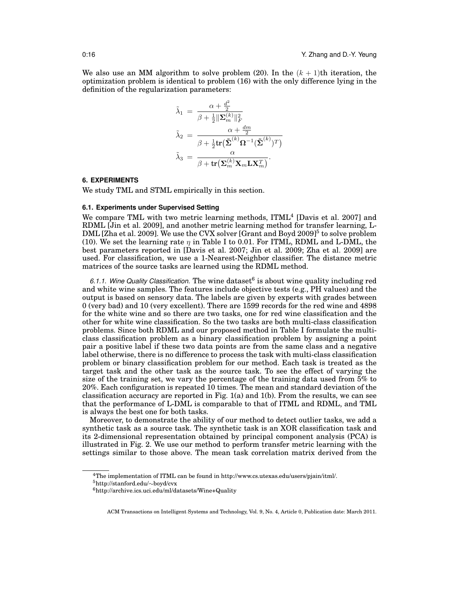We also use an MM algorithm to solve problem (20). In the  $(k + 1)$ th iteration, the optimization problem is identical to problem (16) with the only difference lying in the definition of the regularization parameters:

$$
\tilde{\lambda}_1 = \frac{\alpha + \frac{d^2}{2}}{\beta + \frac{1}{2} \|\mathbf{\Sigma}_m^{(k)}\|_F^2}
$$
\n
$$
\tilde{\lambda}_2 = \frac{\alpha + \frac{dm}{2}}{\beta + \frac{1}{2}\text{tr}(\tilde{\mathbf{\Sigma}}^{(k)}\mathbf{\Omega}^{-1}(\tilde{\mathbf{\Sigma}}^{(k)})^T)}
$$
\n
$$
\tilde{\lambda}_3 = \frac{\alpha}{\beta + \text{tr}(\mathbf{\Sigma}_m^{(k)}\mathbf{X}_m \mathbf{L} \mathbf{X}_m^T)}
$$

# **6. EXPERIMENTS**

We study TML and STML empirically in this section.

#### **6.1. Experiments under Supervised Setting**

We compare TML with two metric learning methods, ITML<sup>4</sup> [Davis et al. 2007] and RDML [Jin et al. 2009], and another metric learning method for transfer learning, L-DML [Zha et al. 2009]. We use the CVX solver [Grant and Boyd 2009]<sup>5</sup> to solve problem (10). We set the learning rate  $\eta$  in Table I to 0.01. For ITML, RDML and L-DML, the best parameters reported in [Davis et al. 2007; Jin et al. 2009; Zha et al. 2009] are used. For classification, we use a 1-Nearest-Neighbor classifier. The distance metric matrices of the source tasks are learned using the RDML method.

6.1.1. Wine Quality Classification. The wine dataset<sup>6</sup> is about wine quality including red and white wine samples. The features include objective tests (e.g., PH values) and the output is based on sensory data. The labels are given by experts with grades between 0 (very bad) and 10 (very excellent). There are 1599 records for the red wine and 4898 for the white wine and so there are two tasks, one for red wine classification and the other for white wine classification. So the two tasks are both multi-class classification problems. Since both RDML and our proposed method in Table I formulate the multiclass classification problem as a binary classification problem by assigning a point pair a positive label if these two data points are from the same class and a negative label otherwise, there is no difference to process the task with multi-class classification problem or binary classification problem for our method. Each task is treated as the target task and the other task as the source task. To see the effect of varying the size of the training set, we vary the percentage of the training data used from 5% to 20%. Each configuration is repeated 10 times. The mean and standard deviation of the classification accuracy are reported in Fig. 1(a) and 1(b). From the results, we can see that the performance of L-DML is comparable to that of ITML and RDML, and TML is always the best one for both tasks.

Moreover, to demonstrate the ability of our method to detect outlier tasks, we add a synthetic task as a source task. The synthetic task is an XOR classification task and its 2-dimensional representation obtained by principal component analysis (PCA) is illustrated in Fig. 2. We use our method to perform transfer metric learning with the settings similar to those above. The mean task correlation matrix derived from the

<sup>4</sup>The implementation of ITML can be found in http://www.cs.utexas.edu/users/pjain/itml/.

<sup>5</sup>http://stanford.edu/*∼*boyd/cvx

<sup>6</sup>http://archive.ics.uci.edu/ml/datasets/Wine+Quality

ACM Transactions on Intelligent Systems and Technology, Vol. 9, No. 4, Article 0, Publication date: March 2011.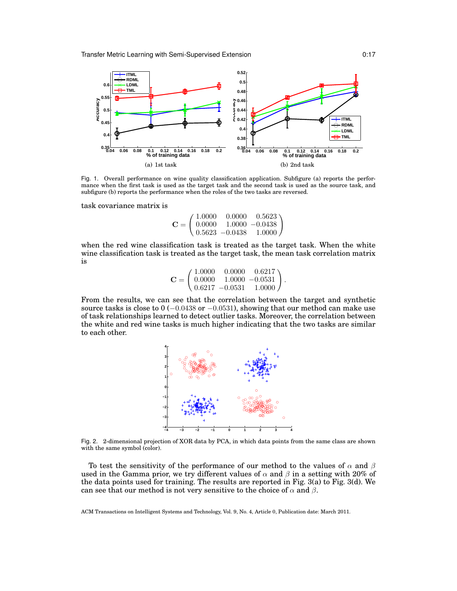

Fig. 1. Overall performance on wine quality classification application. Subfigure (a) reports the performance when the first task is used as the target task and the second task is used as the source task, and subfigure (b) reports the performance when the roles of the two tasks are reversed.

task covariance matrix is

$$
\mathbf{C} = \left(\begin{array}{ccc} 1.0000 & 0.0000 & 0.5623 \\ 0.0000 & 1.0000 & -0.0438 \\ 0.5623 & -0.0438 & 1.0000 \end{array}\right)
$$

when the red wine classification task is treated as the target task. When the white wine classification task is treated as the target task, the mean task correlation matrix is

$$
\mathbf{C} = \begin{pmatrix} 1.0000 & 0.0000 & 0.6217 \\ 0.0000 & 1.0000 & -0.0531 \\ 0.6217 & -0.0531 & 1.0000 \end{pmatrix}.
$$

From the results, we can see that the correlation between the target and synthetic source tasks is close to 0 (*−*0*.*0438 or *−*0*.*0531), showing that our method can make use of task relationships learned to detect outlier tasks. Moreover, the correlation between the white and red wine tasks is much higher indicating that the two tasks are similar to each other.



Fig. 2. 2-dimensional projection of XOR data by PCA, in which data points from the same class are shown with the same symbol (color).

To test the sensitivity of the performance of our method to the values of  $\alpha$  and  $\beta$ used in the Gamma prior, we try different values of  $\alpha$  and  $\beta$  in a setting with 20% of the data points used for training. The results are reported in Fig. 3(a) to Fig. 3(d). We can see that our method is not very sensitive to the choice of  $\alpha$  and  $\beta$ .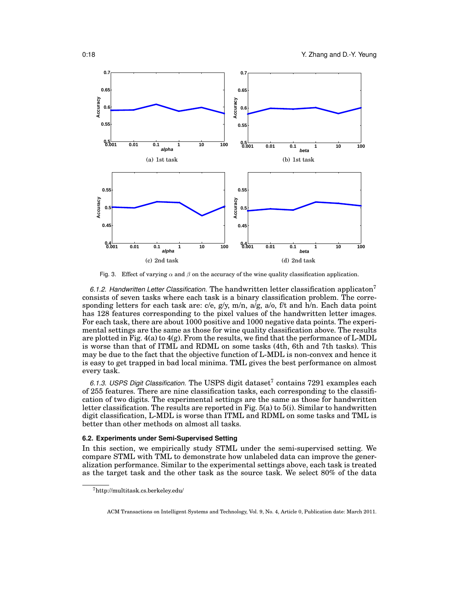

Fig. 3. Effect of varying  $\alpha$  and  $\beta$  on the accuracy of the wine quality classification application.

*6.1.2. Handwritten Letter Classification.* The handwritten letter classification applicaton<sup>7</sup> consists of seven tasks where each task is a binary classification problem. The corresponding letters for each task are:  $c/e$ ,  $g/y$ ,  $m/n$ ,  $a/g$ ,  $a/o$ ,  $f/t$  and  $h/n$ . Each data point has 128 features corresponding to the pixel values of the handwritten letter images. For each task, there are about 1000 positive and 1000 negative data points. The experimental settings are the same as those for wine quality classification above. The results are plotted in Fig.  $4(a)$  to  $4(g)$ . From the results, we find that the performance of L-MDL is worse than that of ITML and RDML on some tasks (4th, 6th and 7th tasks). This may be due to the fact that the objective function of L-MDL is non-convex and hence it is easy to get trapped in bad local minima. TML gives the best performance on almost every task.

6.1.3. USPS Digit Classification. The USPS digit dataset<sup>7</sup> contains 7291 examples each of 255 features. There are nine classification tasks, each corresponding to the classification of two digits. The experimental settings are the same as those for handwritten letter classification. The results are reported in Fig. 5(a) to 5(i). Similar to handwritten digit classification, L-MDL is worse than ITML and RDML on some tasks and TML is better than other methods on almost all tasks.

### **6.2. Experiments under Semi-Supervised Setting**

In this section, we empirically study STML under the semi-supervised setting. We compare STML with TML to demonstrate how unlabeled data can improve the generalization performance. Similar to the experimental settings above, each task is treated as the target task and the other task as the source task. We select 80% of the data

<sup>7</sup>http://multitask.cs.berkeley.edu/

ACM Transactions on Intelligent Systems and Technology, Vol. 9, No. 4, Article 0, Publication date: March 2011.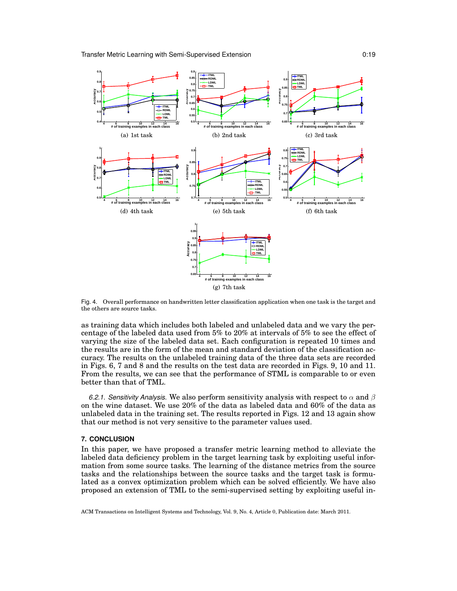

Fig. 4. Overall performance on handwritten letter classification application when one task is the target and the others are source tasks.

as training data which includes both labeled and unlabeled data and we vary the percentage of the labeled data used from 5% to 20% at intervals of 5% to see the effect of varying the size of the labeled data set. Each configuration is repeated 10 times and the results are in the form of the mean and standard deviation of the classification accuracy. The results on the unlabeled training data of the three data sets are recorded in Figs. 6, 7 and 8 and the results on the test data are recorded in Figs. 9, 10 and 11. From the results, we can see that the performance of STML is comparable to or even better than that of TML.

6.2.1. Sensitivity Analysis. We also perform sensitivity analysis with respect to  $\alpha$  and  $\beta$ on the wine dataset. We use 20% of the data as labeled data and 60% of the data as unlabeled data in the training set. The results reported in Figs. 12 and 13 again show that our method is not very sensitive to the parameter values used.

#### **7. CONCLUSION**

In this paper, we have proposed a transfer metric learning method to alleviate the labeled data deficiency problem in the target learning task by exploiting useful information from some source tasks. The learning of the distance metrics from the source tasks and the relationships between the source tasks and the target task is formulated as a convex optimization problem which can be solved efficiently. We have also proposed an extension of TML to the semi-supervised setting by exploiting useful in-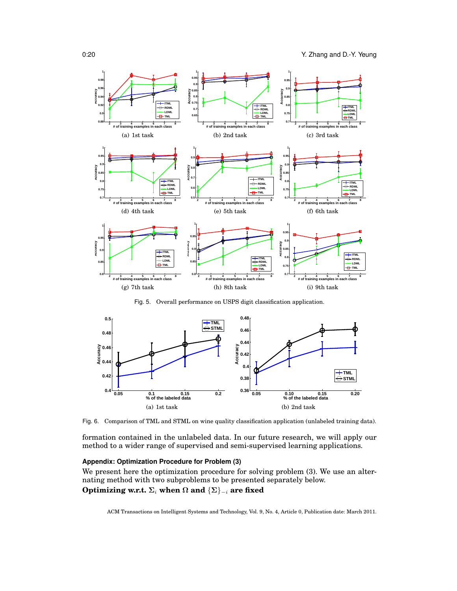

Fig. 5. Overall performance on USPS digit classification application.



Fig. 6. Comparison of TML and STML on wine quality classification application (unlabeled training data).

formation contained in the unlabeled data. In our future research, we will apply our method to a wider range of supervised and semi-supervised learning applications.

# **Appendix: Optimization Procedure for Problem (3)**

We present here the optimization procedure for solving problem (3). We use an alternating method with two subproblems to be presented separately below.

**Optimizing w.r.t.**  $\Sigma_i$  when  $\Omega$  and  $\{\Sigma\}_{-i}$  are fixed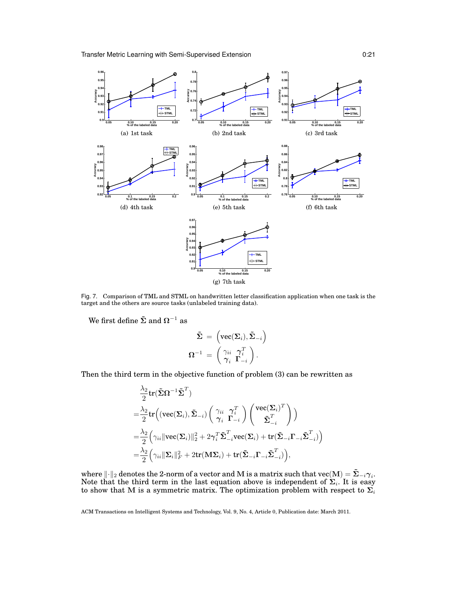

Fig. 7. Comparison of TML and STML on handwritten letter classification application when one task is the target and the others are source tasks (unlabeled training data).

We first define  $\tilde{\bm{\Sigma}}$  and  $\bm{\Omega}^{-1}$  as

$$
\tilde{\bm{\Sigma}} \, = \, \left( \text{vec}(\bm{\Sigma}_i), \tilde{\bm{\Sigma}}_{-i} \right) \\[0.2cm] \bm{\Omega}^{-1} \, = \, \left( \frac{\gamma_{ii}}{\bm{\gamma}_i} \, \frac{\bm{\gamma}_i^T}{\bm{\Gamma}_{-i}} \right).
$$

Then the third term in the objective function of problem (3) can be rewritten as

$$
\begin{aligned} &\frac{\lambda_2}{2}\text{tr}(\tilde{\boldsymbol{\Sigma}}\boldsymbol{\Omega}^{-1}\tilde{\boldsymbol{\Sigma}}^T)\\ =&\frac{\lambda_2}{2}\text{tr}\Big((\text{vec}(\boldsymbol{\Sigma}_i),\tilde{\boldsymbol{\Sigma}}_{-i})\left(\begin{array}{c} \gamma_{ii} \ \ \boldsymbol{\gamma}_i^T \ \ \boldsymbol{\Gamma}_{-i} \end{array}\right)\left(\begin{array}{c} \text{vec}(\boldsymbol{\Sigma}_i)^T \\ \ \tilde{\boldsymbol{\Sigma}}_{-i}^T \end{array}\right)\Big)\\ =&\frac{\lambda_2}{2}\Big(\gamma_{ii}\|\text{vec}(\boldsymbol{\Sigma}_i)\|_2^2+2\boldsymbol{\gamma}_i^T\tilde{\boldsymbol{\Sigma}}_{-i}^T\text{vec}(\boldsymbol{\Sigma}_i)+\text{tr}(\tilde{\boldsymbol{\Sigma}}_{-i}\boldsymbol{\Gamma}_{-i}\tilde{\boldsymbol{\Sigma}}_{-i}^T)\Big)\\ =&\frac{\lambda_2}{2}\Big(\gamma_{ii}\|\boldsymbol{\Sigma}_i\|_F^2+2\text{tr}(\mathbf{M}\boldsymbol{\Sigma}_i)+\text{tr}(\tilde{\boldsymbol{\Sigma}}_{-i}\boldsymbol{\Gamma}_{-i}\tilde{\boldsymbol{\Sigma}}_{-i}^T)\Big), \end{aligned}
$$

where  $\|\cdot\|_2$  denotes the 2-norm of a vector and  $\bold{M}$  is a matrix such that  $\text{vec}(\bold{M}) = \tilde{\boldsymbol{\Sigma}}_{-i} \boldsymbol{\gamma}_i.$ Note that the third term in the last equation above is independent of  $\Sigma_i$ . It is easy to show that **M** is a symmetric matrix. The optimization problem with respect to  $\Sigma_i$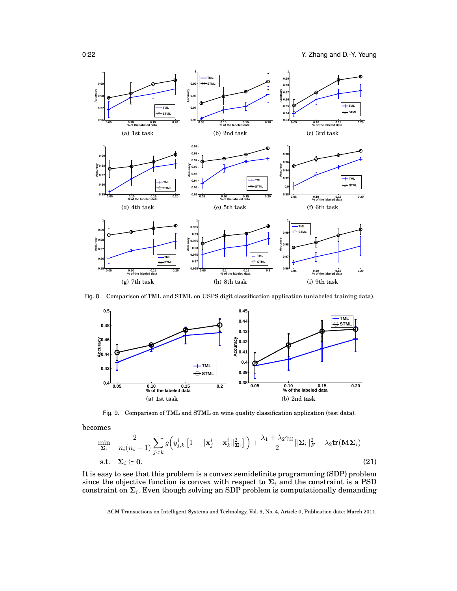

Fig. 8. Comparison of TML and STML on USPS digit classification application (unlabeled training data).



Fig. 9. Comparison of TML and STML on wine quality classification application (test data).

becomes

$$
\min_{\Sigma_i} \quad \frac{2}{n_i(n_i-1)} \sum_{j < k} g\left(y_{j,k}^i \left[1 - \|\mathbf{x}_j^i - \mathbf{x}_k^i\|_{\mathbf{\Sigma}_i}^2\right]\right) + \frac{\lambda_1 + \lambda_2 \gamma_{ii}}{2} \|\mathbf{\Sigma}_i\|_F^2 + \lambda_2 \text{tr}(\mathbf{M}\mathbf{\Sigma}_i)
$$
\ns.t.

\n
$$
\Sigma_i \succeq \mathbf{0}.
$$
\n(21)

It is easy to see that this problem is a convex semidefinite programming (SDP) problem since the objective function is convex with respect to  $\Sigma_i$  and the constraint is a PSD  $\text{constraint on } \Sigma_i$ . Even though solving an SDP problem is computationally demanding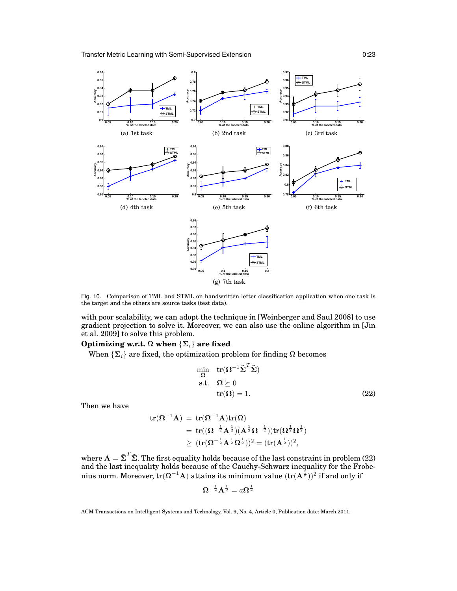

Fig. 10. Comparison of TML and STML on handwritten letter classification application when one task is the target and the others are source tasks (test data).

with poor scalability, we can adopt the technique in [Weinberger and Saul 2008] to use gradient projection to solve it. Moreover, we can also use the online algorithm in [Jin et al. 2009] to solve this problem.

 $\overline{r}$ 

# **Optimizing w.r.t.**  $\Omega$  when  $\{\Sigma_i\}$  are fixed

When  $\{\Sigma_i\}$  are fixed, the optimization problem for finding  $\Omega$  becomes

$$
\min_{\Omega} \quad tr(\Omega^{-1}\tilde{\Sigma}^{T}\tilde{\Sigma})
$$
\n
$$
\text{s.t.} \quad \Omega \succeq 0
$$
\n
$$
\text{tr}(\Omega) = 1.
$$
\n
$$
(22)
$$

Then we have

$$
\begin{aligned} \text{tr}(\boldsymbol{\Omega}^{-1}\textbf{A})\;&=\; \text{tr}(\boldsymbol{\Omega}^{-1}\textbf{A})\text{tr}(\boldsymbol{\Omega}) \\ &=\; \text{tr}((\boldsymbol{\Omega}^{-\frac{1}{2}}\textbf{A}^{\frac{1}{2}})(\textbf{A}^{\frac{1}{2}}\boldsymbol{\Omega}^{-\frac{1}{2}}))\text{tr}(\boldsymbol{\Omega}^{\frac{1}{2}}\boldsymbol{\Omega}^{\frac{1}{2}}) \\ &\geq \; (\text{tr}(\boldsymbol{\Omega}^{-\frac{1}{2}}\textbf{A}^{\frac{1}{2}}\boldsymbol{\Omega}^{\frac{1}{2}}))^2 = (\text{tr}(\textbf{A}^{\frac{1}{2}}))^2, \end{aligned}
$$

where  $\mathbf{A} = \tilde{\boldsymbol{\Sigma}}^T \tilde{\boldsymbol{\Sigma}}.$  The first equality holds because of the last constraint in problem (22) and the last inequality holds because of the Cauchy-Schwarz inequality for the Frobenius norm. Moreover,  $\text{tr}(\boldsymbol{\Omega}^{-1}\textbf{A})$  attains its minimum value  $(\text{tr}(\textbf{A}^{\frac{1}{2}}))^2$  if and only if

$$
\boldsymbol{\Omega}^{-\frac{1}{2}}\mathbf{A}^{\frac{1}{2}}=a\boldsymbol{\Omega}^{\frac{1}{2}}
$$

ACM Transactions on Intelligent Systems and Technology, Vol. 9, No. 4, Article 0, Publication date: March 2011.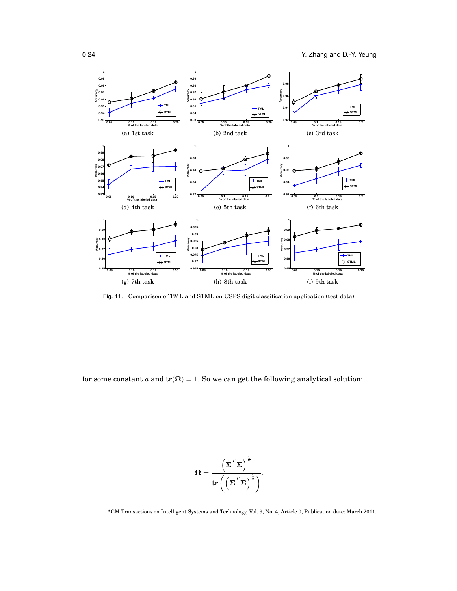

Fig. 11. Comparison of TML and STML on USPS digit classification application (test data).

for some constant  $a$  and  $tr(\Omega) = 1$ . So we can get the following analytical solution:

$$
\boldsymbol{\Omega}=\frac{\left(\tilde{\boldsymbol{\Sigma}}^T\tilde{\boldsymbol{\Sigma}}\right)^{\frac{1}{2}}}{\mathrm{tr}\left(\left(\tilde{\boldsymbol{\Sigma}}^T\tilde{\boldsymbol{\Sigma}}\right)^{\frac{1}{2}}\right)}.
$$

ACM Transactions on Intelligent Systems and Technology, Vol. 9, No. 4, Article 0, Publication date: March 2011.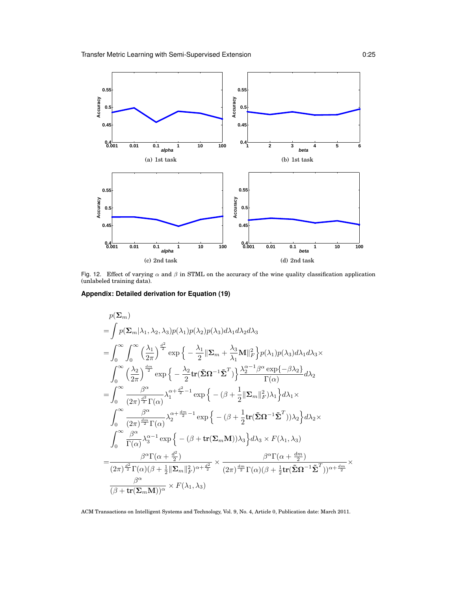

Fig. 12. Effect of varying  $\alpha$  and  $\beta$  in STML on the accuracy of the wine quality classification application (unlabeled training data).

# **Appendix: Detailed derivation for Equation (19)**

$$
p(\Sigma_m)
$$
\n
$$
= \int p(\Sigma_m | \lambda_1, \lambda_2, \lambda_3) p(\lambda_1) p(\lambda_2) p(\lambda_3) d\lambda_1 d\lambda_2 d\lambda_3
$$
\n
$$
= \int_0^\infty \int_0^\infty \left(\frac{\lambda_1}{2\pi}\right)^{\frac{d^2}{2}} \exp\left\{-\frac{\lambda_1}{2} \|\Sigma_m + \frac{\lambda_3}{\lambda_1} \mathbf{M}\|_F^2\right\} p(\lambda_1) p(\lambda_3) d\lambda_1 d\lambda_3 \times
$$
\n
$$
\int_0^\infty \left(\frac{\lambda_2}{2\pi}\right)^{\frac{d m}{2}} \exp\left\{-\frac{\lambda_2}{2} \text{tr}(\tilde{\Sigma} \Omega^{-1} \tilde{\Sigma}^T)\right\} \frac{\lambda_2^{\alpha - 1} \beta^\alpha \exp\{-\beta \lambda_2\}}{\Gamma(\alpha)} d\lambda_2
$$
\n
$$
= \int_0^\infty \frac{\beta^\alpha}{(2\pi)^{\frac{d^2}{2}} \Gamma(\alpha)} \lambda_1^{\alpha + \frac{d^2}{2} - 1} \exp\left\{- (\beta + \frac{1}{2} \|\Sigma_m\|_F^2) \lambda_1\right\} d\lambda_1 \times
$$
\n
$$
\int_0^\infty \frac{\beta^\alpha}{(2\pi)^{\frac{d m}{2}} \Gamma(\alpha)} \lambda_2^{\alpha + \frac{d m}{2} - 1} \exp\left\{- (\beta + \frac{1}{2} \text{tr}(\tilde{\Sigma} \Omega^{-1} \tilde{\Sigma}^T)) \lambda_2\right\} d\lambda_2 \times
$$
\n
$$
\int_0^\infty \frac{\beta^\alpha}{\Gamma(\alpha)} \lambda_3^{\alpha - 1} \exp\left\{- (\beta + \text{tr}(\Sigma_m \mathbf{M})) \lambda_3\right\} d\lambda_3 \times F(\lambda_1, \lambda_3)
$$
\n
$$
= \frac{\beta^\alpha \Gamma(\alpha + \frac{d^2}{2})}{(2\pi)^{\frac{d^2}{2}} \Gamma(\alpha) (\beta + \frac{1}{2} \|\Sigma_m\|_F^2)^{\alpha + \frac{d^2}{2}}} \times \frac{\beta^\alpha \Gamma(\alpha + \frac{dm}{2})}{(2\pi)^{\frac{dm}{2}} \Gamma(\alpha) (\beta + \frac{1}{2} \text{tr
$$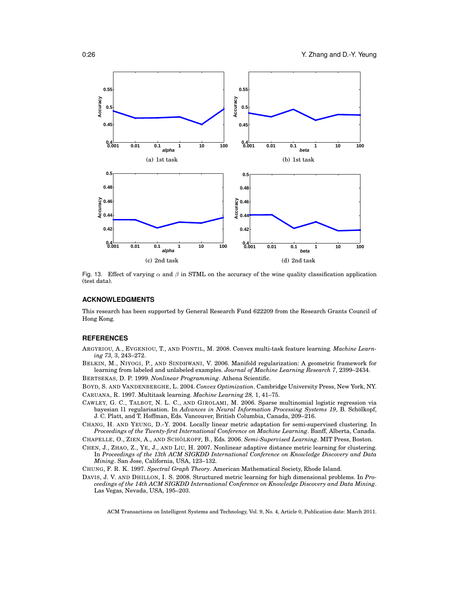

Fig. 13. Effect of varying  $\alpha$  and  $\beta$  in STML on the accuracy of the wine quality classification application (test data).

### **ACKNOWLEDGMENTS**

This research has been supported by General Research Fund 622209 from the Research Grants Council of Hong Kong.

#### **REFERENCES**

- ARGYRIOU, A., EVGENIOU, T., AND PONTIL, M. 2008. Convex multi-task feature learning. *Machine Learning 73,* 3, 243–272.
- BELKIN, M., NIYOGI, P., AND SINDHWANI, V. 2006. Manifold regularization: A geometric framework for learning from labeled and unlabeled examples. *Journal of Machine Learning Research 7*, 2399–2434. BERTSEKAS, D. P. 1999. *Nonlinear Programming*. Athena Scientific.
- BOYD, S. AND VANDENBERGHE, L. 2004. *Convex Optimization*. Cambridge University Press, New York, NY. CARUANA, R. 1997. Multitask learning. *Machine Learning 28,* 1, 41–75.
- CAWLEY, G. C., TALBOT, N. L. C., AND GIROLAMI, M. 2006. Sparse multinomial logistic regression via bayesian l1 regularisation. In *Advances in Neural Information Processing Systems 19*, B. Scholkopf, ¨ J. C. Platt, and T. Hoffman, Eds. Vancouver, British Columbia, Canada, 209–216.
- CHANG, H. AND YEUNG, D.-Y. 2004. Locally linear metric adaptation for semi-supervised clustering. In *Proceedings of the Twenty-first International Conference on Machine Learning*. Banff, Alberta, Canada.
- CHAPELLE, O., ZIEN, A., AND SCHÖLKOPF, B., Eds. 2006. *Semi-Supervised Learning*. MIT Press, Boston.
- CHEN, J., ZHAO, Z., YE, J., AND LIU, H. 2007. Nonlinear adaptive distance metric learning for clustering. In *Proceedings of the 13th ACM SIGKDD International Conference on Knowledge Discovery and Data Mining*. San Jose, California, USA, 123–132.
- CHUNG, F. R. K. 1997. *Spectral Graph Theory*. American Mathematical Society, Rhode Island.
- DAVIS, J. V. AND DHILLON, I. S. 2008. Structured metric learning for high dimensional problems. In *Proceedings of the 14th ACM SIGKDD International Conference on Knowledge Discovery and Data Mining*. Las Vegas, Nevada, USA, 195–203.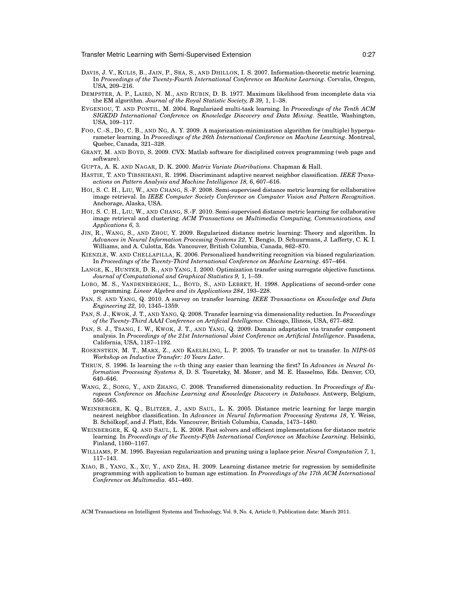- DAVIS, J. V., KULIS, B., JAIN, P., SRA, S., AND DHILLON, I. S. 2007. Information-theoretic metric learning. In *Proceedings of the Twenty-Fourth International Conference on Machine Learning*. Corvalis, Oregon, USA, 209–216.
- DEMPSTER, A. P., LAIRD, N. M., AND RUBIN, D. B. 1977. Maximum likelihood from incomplete data via the EM algorithm. *Journal of the Royal Statistic Society, B 39,* 1, 1–38.
- EVGENIOU, T. AND PONTIL, M. 2004. Regularized multi-task learning. In *Proceedings of the Tenth ACM SIGKDD International Conference on Knowledge Discovery and Data Mining*. Seattle, Washington, USA, 109–117.
- FOO, C.-S., DO, C. B., AND NG, A. Y. 2009. A majorization-minimization algorithm for (multiple) hyperparameter learning. In *Proceedings of the 26th International Conference on Machine Learning*. Montreal, Quebec, Canada, 321–328.
- GRANT, M. AND BOYD, S. 2009. CVX: Matlab software for disciplined convex programming (web page and software).
- GUPTA, A. K. AND NAGAR, D. K. 2000. *Matrix Variate Distributions*. Chapman & Hall.
- HASTIE, T. AND TIBSHIRANI, R. 1996. Discriminant adaptive nearest neighbor classification. *IEEE Transactions on Pattern Analysis and Machine Intelligence 18,* 6, 607–616.
- HOI, S. C. H., LIU, W., AND CHANG, S.-F. 2008. Semi-supervised distance metric learning for collaborative image retrieval. In *IEEE Computer Society Conference on Computer Vision and Pattern Recognition*. Anchorage, Alaska, USA.
- HOI, S. C. H., LIU, W., AND CHANG, S.-F. 2010. Semi-supervised distance metric learning for collaborative image retrieval and clustering. *ACM Transactions on Multimedia Computing, Communications, and Applications 6,* 3.
- JIN, R., WANG, S., AND ZHOU, Y. 2009. Regularized distance metric learning: Theory and algorithm. In *Advances in Neural Information Processing Systems 22*, Y. Bengio, D. Schuurmans, J. Lafferty, C. K. I. Williams, and A. Culotta, Eds. Vancouver, British Columbia, Canada, 862–870.
- KIENZLE, W. AND CHELLAPILLA, K. 2006. Personalized handwriting recognition via biased regularization. In *Proceedings of the Twenty-Third International Conference on Machine Learning*. 457–464.
- LANGE, K., HUNTER, D. R., AND YANG, I. 2000. Optimization transfer using surrogate objective functions. *Journal of Computational and Graphical Statistics 9,* 1, 1–59.
- LOBO, M. S., VANDENBERGHE, L., BOYD, S., AND LEBRET, H. 1998. Applications of second-order cone programming. *Linear Algebra and its Applications 284*, 193–228.
- PAN, S. AND YANG, Q. 2010. A survey on transfer learning. *IEEE Transactions on Knowledge and Data Engineering 22,* 10, 1345–1359.
- PAN, S. J., KWOK, J. T., AND YANG, Q. 2008. Transfer learning via dimensionality reduction. In *Proceedings of the Twenty-Third AAAI Conference on Artificial Intelligence*. Chicago, Illinois, USA, 677–682.
- PAN, S. J., TSANG, I. W., KWOK, J. T., AND YANG, Q. 2009. Domain adaptation via transfer component analysis. In *Proceedings of the 21st International Joint Conference on Artificial Intelligence*. Pasadena, California, USA, 1187–1192.
- ROSENSTEIN, M. T., MARX, Z., AND KAELBLING, L. P. 2005. To transfer or not to transfer. In *NIPS-05 Workshop on Inductive Transfer: 10 Years Later*.
- THRUN, S. 1996. Is learning the *n*-th thing any easier than learning the first? In *Advances in Neural Information Processing Systems 8*, D. S. Touretzky, M. Mozer, and M. E. Hasselmo, Eds. Denver, CO, 640–646.
- WANG, Z., SONG, Y., AND ZHANG, C. 2008. Transferred dimensionality reduction. In *Proceedings of European Conference on Machine Learning and Knowledge Discovery in Databases*. Antwerp, Belgium, 550–565.
- WEINBERGER, K. Q., BLITZER, J., AND SAUL, L. K. 2005. Distance metric learning for large margin nearest neighbor classification. In *Advances in Neural Information Processing Systems 18*, Y. Weiss, B. Schölkopf, and J. Platt, Eds. Vancouver, British Columbia, Canada, 1473–1480.
- WEINBERGER, K. Q. AND SAUL, L. K. 2008. Fast solvers and efficient implementations for distance metric learning. In *Proceedings of the Twenty-Fifth International Conference on Machine Learning*. Helsinki, Finland, 1160–1167.
- WILLIAMS, P. M. 1995. Bayesian regularization and pruning using a laplace prior. *Neural Computation 7,* 1, 117–143.
- XIAO, B., YANG, X., XU, Y., AND ZHA, H. 2009. Learning distance metric for regression by semidefinite programming with application to human age estimation. In *Proceedings of the 17th ACM International Conference on Multimedia*. 451–460.